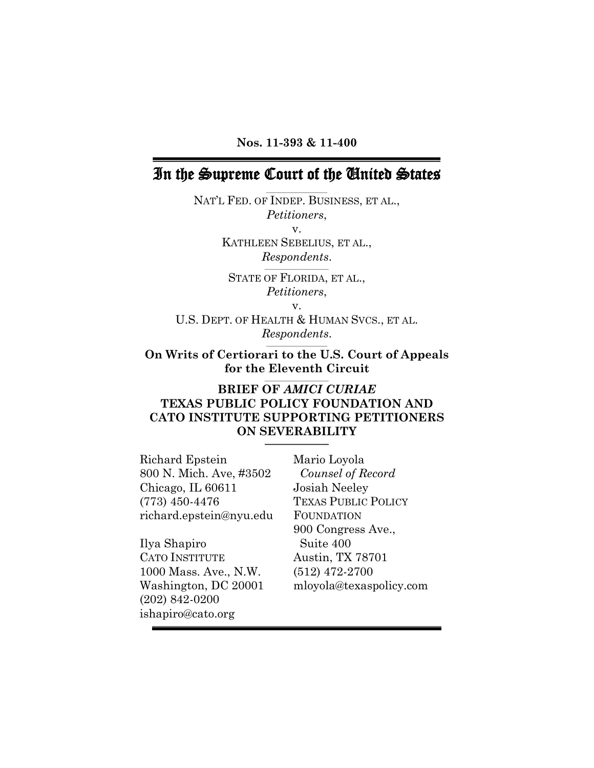**Nos. 11-393 & 11-400**

# In the Supreme Court of the United States **\_\_\_\_\_\_\_\_\_\_\_\_\_\_\_\_\_\_\_\_\_**

NAT'L FED. OF INDEP. BUSINESS, ET AL., *Petitioners*, v. KATHLEEN SEBELIUS, ET AL., *Respondents*.  $\mathcal{L}=\{1,2,3,4,5\}$ 

> STATE OF FLORIDA, ET AL., *Petitioners*,

> > v.

U.S. DEPT. OF HEALTH & HUMAN SVCS., ET AL. *Respondents*. \_\_\_\_\_\_\_\_\_\_\_\_\_\_\_\_\_\_\_\_\_

**On Writs of Certiorari to the U.S. Court of Appeals for the Eleventh Circuit**  $\overline{\phantom{a}}$  , where  $\overline{\phantom{a}}$  , where  $\overline{\phantom{a}}$  , where  $\overline{\phantom{a}}$ 

#### **BRIEF OF** *AMICI CURIAE* **TEXAS PUBLIC POLICY FOUNDATION AND CATO INSTITUTE SUPPORTING PETITIONERS ON SEVERABILITY \_\_\_\_\_\_\_\_\_\_\_\_\_\_\_\_\_\_\_\_\_\_**

Richard Epstein 800 N. Mich. Ave, #3502 Chicago, IL 60611 (773) 450-4476 richard.epstein@nyu.edu

Ilya Shapiro CATO INSTITUTE 1000 Mass. Ave., N.W. Washington, DC 20001 (202) 842-0200 ishapiro@cato.org

Mario Loyola *Counsel of Record* Josiah Neeley TEXAS PUBLIC POLICY FOUNDATION 900 Congress Ave., Suite 400 Austin, TX 78701 (512) 472-2700 mloyola@texaspolicy.com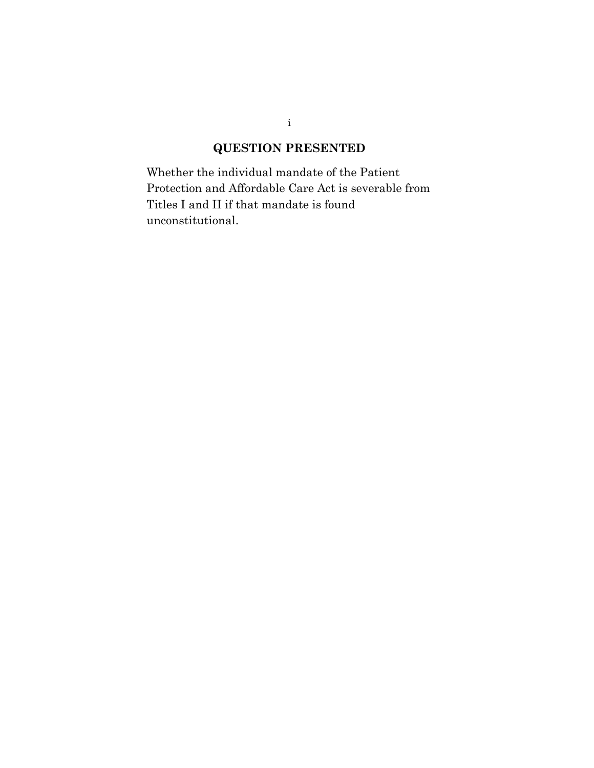# **QUESTION PRESENTED**

Whether the individual mandate of the Patient Protection and Affordable Care Act is severable from Titles I and II if that mandate is found unconstitutional.

i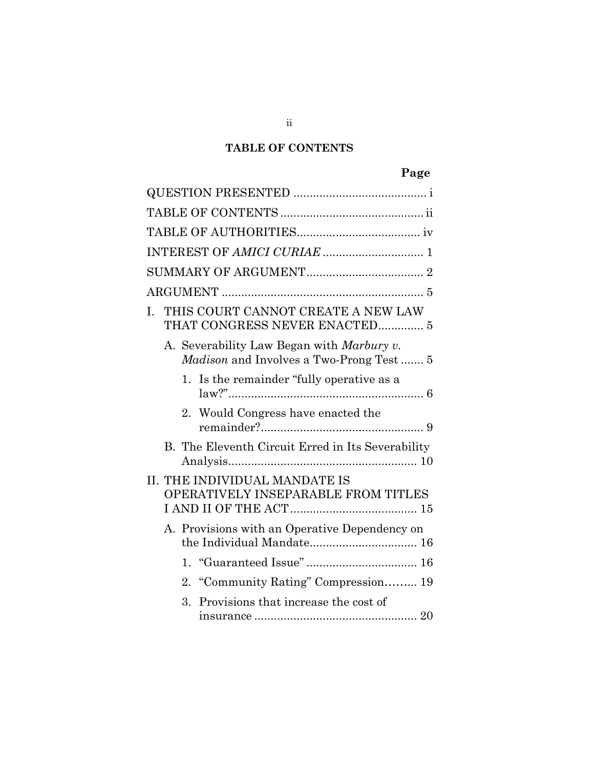# **TABLE OF CONTENTS**

# **Page**

| L. |    | THIS COURT CANNOT CREATE A NEW LAW<br>THAT CONGRESS NEVER ENACTED 5                         |  |
|----|----|---------------------------------------------------------------------------------------------|--|
|    |    | A. Severability Law Began with Marbury v.<br><i>Madison</i> and Involves a Two-Prong Test 5 |  |
|    |    | 1. Is the remainder "fully operative as a                                                   |  |
|    |    | 2. Would Congress have enacted the                                                          |  |
|    |    | B. The Eleventh Circuit Erred in Its Severability                                           |  |
|    |    | II. THE INDIVIDUAL MANDATE IS<br>OPERATIVELY INSEPARABLE FROM TITLES                        |  |
|    |    | A. Provisions with an Operative Dependency on                                               |  |
|    |    |                                                                                             |  |
|    | 2. | "Community Rating" Compression 19                                                           |  |
|    | 3. | Provisions that increase the cost of                                                        |  |

ii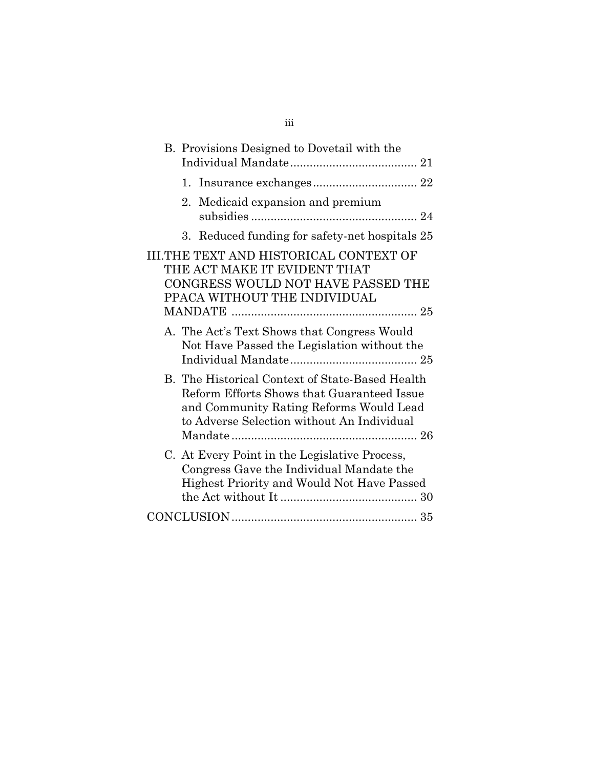| B. Provisions Designed to Dovetail with the                                                                                                                                            |
|----------------------------------------------------------------------------------------------------------------------------------------------------------------------------------------|
|                                                                                                                                                                                        |
| Medicaid expansion and premium<br>2.                                                                                                                                                   |
| 3. Reduced funding for safety-net hospitals 25                                                                                                                                         |
| III.THE TEXT AND HISTORICAL CONTEXT OF<br>THE ACT MAKE IT EVIDENT THAT<br>CONGRESS WOULD NOT HAVE PASSED THE<br>PPACA WITHOUT THE INDIVIDUAL                                           |
| A. The Act's Text Shows that Congress Would<br>Not Have Passed the Legislation without the                                                                                             |
| B. The Historical Context of State-Based Health<br>Reform Efforts Shows that Guaranteed Issue<br>and Community Rating Reforms Would Lead<br>to Adverse Selection without An Individual |
| C. At Every Point in the Legislative Process,<br>Congress Gave the Individual Mandate the<br>Highest Priority and Would Not Have Passed                                                |
|                                                                                                                                                                                        |

# iii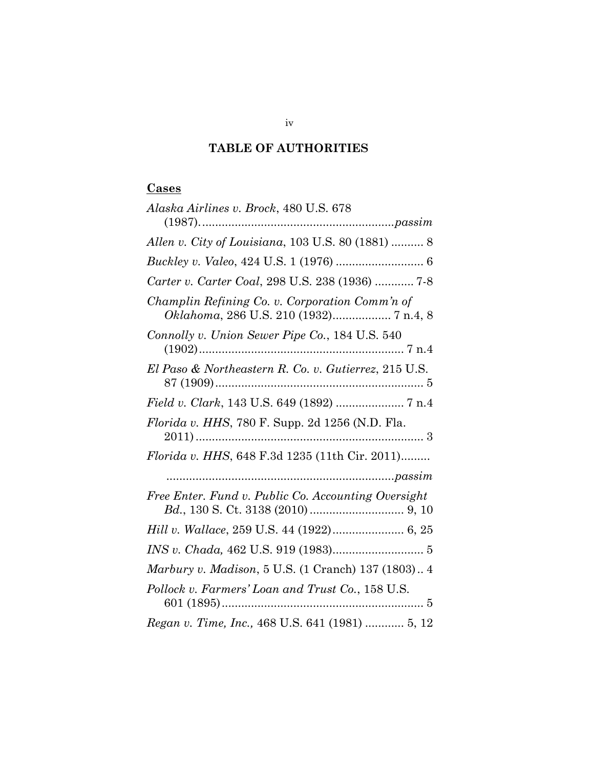# **TABLE OF AUTHORITIES**

# **Cases**

| Alaska Airlines v. Brock, 480 U.S. 678                                                   |
|------------------------------------------------------------------------------------------|
|                                                                                          |
| Allen v. City of Louisiana, 103 U.S. 80 (1881)  8                                        |
|                                                                                          |
| Carter v. Carter Coal, 298 U.S. 238 (1936)  7-8                                          |
| Champlin Refining Co. v. Corporation Comm'n of<br>Oklahoma, 286 U.S. 210 (1932) 7 n.4, 8 |
| Connolly v. Union Sewer Pipe Co., 184 U.S. 540                                           |
| El Paso & Northeastern R. Co. v. Gutierrez, 215 U.S.                                     |
| Field v. Clark, 143 U.S. 649 (1892)  7 n.4                                               |
| Florida v. HHS, 780 F. Supp. 2d 1256 (N.D. Fla.                                          |
| Florida v. HHS, 648 F.3d 1235 (11th Cir. 2011)                                           |
|                                                                                          |
| Free Enter. Fund v. Public Co. Accounting Oversight                                      |
|                                                                                          |
|                                                                                          |
| Marbury v. Madison, 5 U.S. (1 Cranch) 137 (1803) 4                                       |
| Pollock v. Farmers' Loan and Trust Co., 158 U.S.                                         |
| Regan v. Time, Inc., 468 U.S. 641 (1981)  5, 12                                          |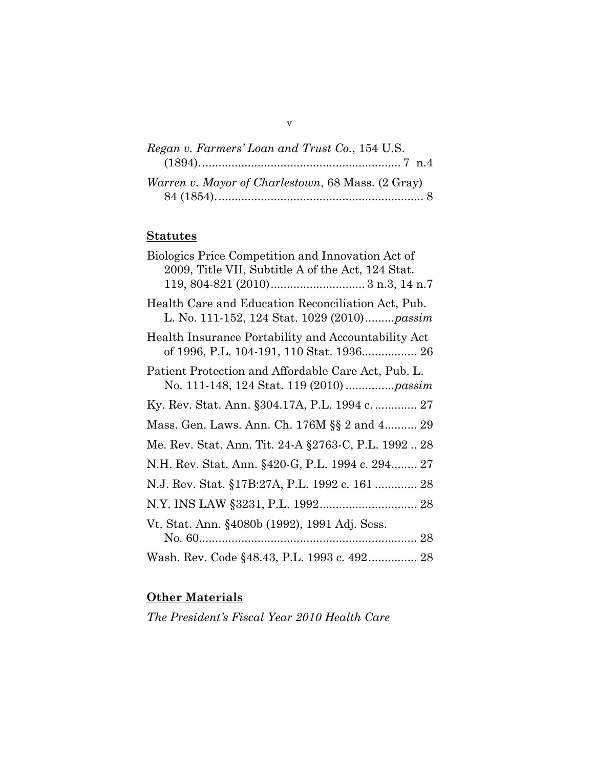| Regan v. Farmers' Loan and Trust Co., 154 U.S.           |  |
|----------------------------------------------------------|--|
|                                                          |  |
| <i>Warren v. Mayor of Charlestown, 68 Mass. (2 Gray)</i> |  |
|                                                          |  |

# **Statutes**

| Biologics Price Competition and Innovation Act of<br>2009, Title VII, Subtitle A of the Act, 124 Stat.    |
|-----------------------------------------------------------------------------------------------------------|
| Health Care and Education Reconciliation Act, Pub.<br>L. No. 111-152, 124 Stat. 1029 (2010) <i>passim</i> |
| Health Insurance Portability and Accountability Act<br>of 1996, P.L. 104-191, 110 Stat. 1936 26           |
| Patient Protection and Affordable Care Act, Pub. L.                                                       |
| Ky. Rev. Stat. Ann. §304.17A, P.L. 1994 c.  27                                                            |
| Mass. Gen. Laws. Ann. Ch. 176M §§ 2 and 4 29                                                              |
| Me. Rev. Stat. Ann. Tit. 24-A §2763-C, P.L. 1992 28                                                       |
| N.H. Rev. Stat. Ann. §420-G, P.L. 1994 c. 294 27                                                          |
| N.J. Rev. Stat. §17B:27A, P.L. 1992 c. 161  28                                                            |
|                                                                                                           |
| Vt. Stat. Ann. §4080b (1992), 1991 Adj. Sess.                                                             |
| Wash. Rev. Code §48.43, P.L. 1993 c. 492 28                                                               |
|                                                                                                           |

# **Other Materials**

*The President's Fiscal Year 2010 Health Care* 

v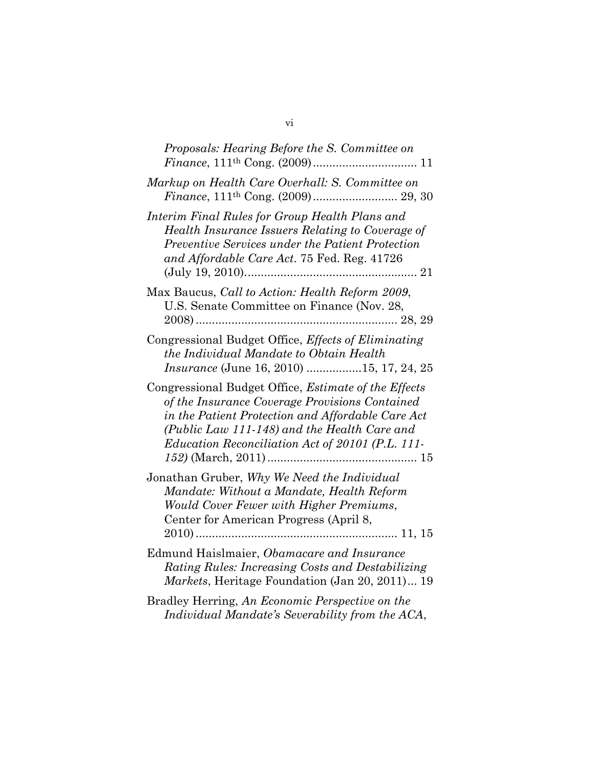| Proposals: Hearing Before the S. Committee on                                                                                                                                                                                                                          |
|------------------------------------------------------------------------------------------------------------------------------------------------------------------------------------------------------------------------------------------------------------------------|
| Markup on Health Care Overhall: S. Committee on                                                                                                                                                                                                                        |
| Interim Final Rules for Group Health Plans and<br>Health Insurance Issuers Relating to Coverage of<br>Preventive Services under the Patient Protection<br>and Affordable Care Act. 75 Fed. Reg. 41726                                                                  |
| Max Baucus, Call to Action: Health Reform 2009,<br>U.S. Senate Committee on Finance (Nov. 28,                                                                                                                                                                          |
| Congressional Budget Office, <i>Effects of Eliminating</i><br>the Individual Mandate to Obtain Health<br><i>Insurance</i> (June 16, 2010) 15, 17, 24, 25                                                                                                               |
| Congressional Budget Office, <i>Estimate of the Effects</i><br>of the Insurance Coverage Provisions Contained<br>in the Patient Protection and Affordable Care Act<br>(Public Law 111-148) and the Health Care and<br>Education Reconciliation Act of 20101 (P.L. 111- |
| Jonathan Gruber, Why We Need the Individual<br>Mandate: Without a Mandate, Health Reform<br>Would Cover Fewer with Higher Premiums,<br>Center for American Progress (April 8,                                                                                          |
| Edmund Haislmaier, Obamacare and Insurance<br>Rating Rules: Increasing Costs and Destabilizing<br>Markets, Heritage Foundation (Jan 20, 2011) 19                                                                                                                       |
| Bradley Herring, An Economic Perspective on the<br>Individual Mandate's Severability from the ACA,                                                                                                                                                                     |

| ۰<br>V1 |  |
|---------|--|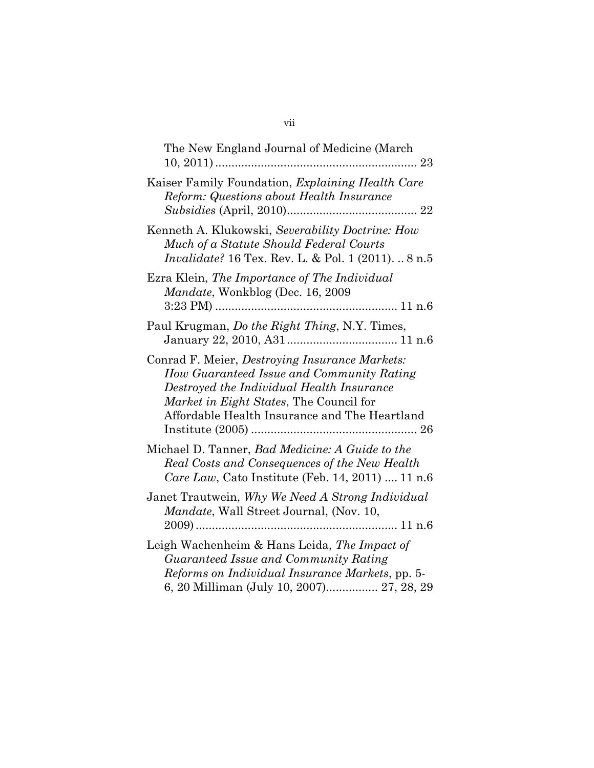| The New England Journal of Medicine (March<br>23                                                                                                                                                                                     |
|--------------------------------------------------------------------------------------------------------------------------------------------------------------------------------------------------------------------------------------|
| Kaiser Family Foundation, Explaining Health Care<br>Reform: Questions about Health Insurance<br>22                                                                                                                                   |
| Kenneth A. Klukowski, Severability Doctrine: How<br>Much of a Statute Should Federal Courts<br>Invalidate? 16 Tex. Rev. L. & Pol. 1 (2011).  8 n.5                                                                                   |
| Ezra Klein, The Importance of The Individual<br><i>Mandate</i> , Wonkblog (Dec. 16, 2009)                                                                                                                                            |
| Paul Krugman, Do the Right Thing, N.Y. Times,                                                                                                                                                                                        |
| Conrad F. Meier, Destroying Insurance Markets:<br>How Guaranteed Issue and Community Rating<br>Destroyed the Individual Health Insurance<br>Market in Eight States, The Council for<br>Affordable Health Insurance and The Heartland |
| Michael D. Tanner, <i>Bad Medicine: A Guide to the</i><br>Real Costs and Consequences of the New Health<br>Care Law, Cato Institute (Feb. 14, 2011)  11 n.6                                                                          |
| Janet Trautwein, Why We Need A Strong Individual<br>Mandate, Wall Street Journal, (Nov. 10,                                                                                                                                          |
| Leigh Wachenheim & Hans Leida, The Impact of<br>Guaranteed Issue and Community Rating<br>Reforms on Individual Insurance Markets, pp. 5-<br>6, 20 Milliman (July 10, 2007) 27, 28, 29                                                |

#### vii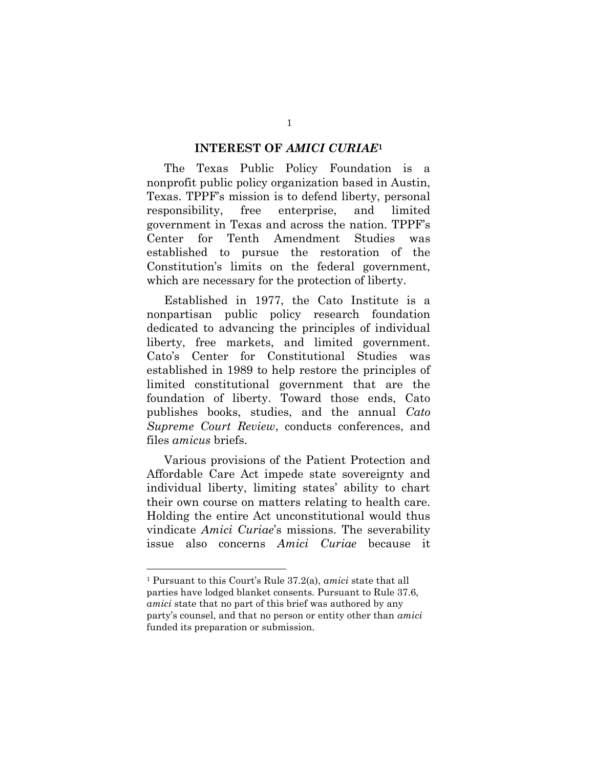#### **INTEREST OF** *AMICI CURIAE***<sup>1</sup>**

The Texas Public Policy Foundation is a nonprofit public policy organization based in Austin, Texas. TPPF's mission is to defend liberty, personal responsibility, free enterprise, and limited government in Texas and across the nation. TPPF's Center for Tenth Amendment Studies was established to pursue the restoration of the Constitution's limits on the federal government, which are necessary for the protection of liberty.

Established in 1977, the Cato Institute is a nonpartisan public policy research foundation dedicated to advancing the principles of individual liberty, free markets, and limited government. Cato's Center for Constitutional Studies was established in 1989 to help restore the principles of limited constitutional government that are the foundation of liberty. Toward those ends, Cato publishes books, studies, and the annual *Cato Supreme Court Review*, conducts conferences, and files *amicus* briefs.

Various provisions of the Patient Protection and Affordable Care Act impede state sovereignty and individual liberty, limiting states' ability to chart their own course on matters relating to health care. Holding the entire Act unconstitutional would thus vindicate *Amici Curiae*'s missions. The severability issue also concerns *Amici Curiae* because it

<sup>1</sup> Pursuant to this Court's Rule 37.2(a), *amici* state that all parties have lodged blanket consents. Pursuant to Rule 37.6, *amici* state that no part of this brief was authored by any party's counsel, and that no person or entity other than *amici* funded its preparation or submission.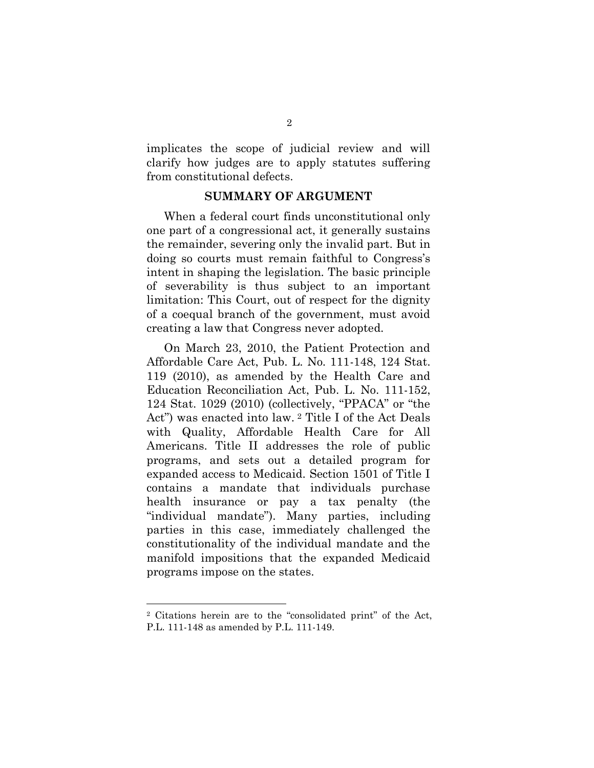implicates the scope of judicial review and will clarify how judges are to apply statutes suffering from constitutional defects.

#### **SUMMARY OF ARGUMENT**

When a federal court finds unconstitutional only one part of a congressional act, it generally sustains the remainder, severing only the invalid part. But in doing so courts must remain faithful to Congress's intent in shaping the legislation. The basic principle of severability is thus subject to an important limitation: This Court, out of respect for the dignity of a coequal branch of the government, must avoid creating a law that Congress never adopted.

On March 23, 2010, the Patient Protection and Affordable Care Act, Pub. L. No. 111-148, 124 Stat. 119 (2010), as amended by the Health Care and Education Reconciliation Act, Pub. L. No. 111-152, 124 Stat. 1029 (2010) (collectively, "PPACA" or "the Act") was enacted into law. <sup>2</sup> Title I of the Act Deals with Quality, Affordable Health Care for All Americans. Title II addresses the role of public programs, and sets out a detailed program for expanded access to Medicaid. Section 1501 of Title I contains a mandate that individuals purchase health insurance or pay a tax penalty (the "individual mandate"). Many parties, including parties in this case, immediately challenged the constitutionality of the individual mandate and the manifold impositions that the expanded Medicaid programs impose on the states.

<sup>2</sup> Citations herein are to the "consolidated print" of the Act, P.L. 111-148 as amended by P.L. 111-149.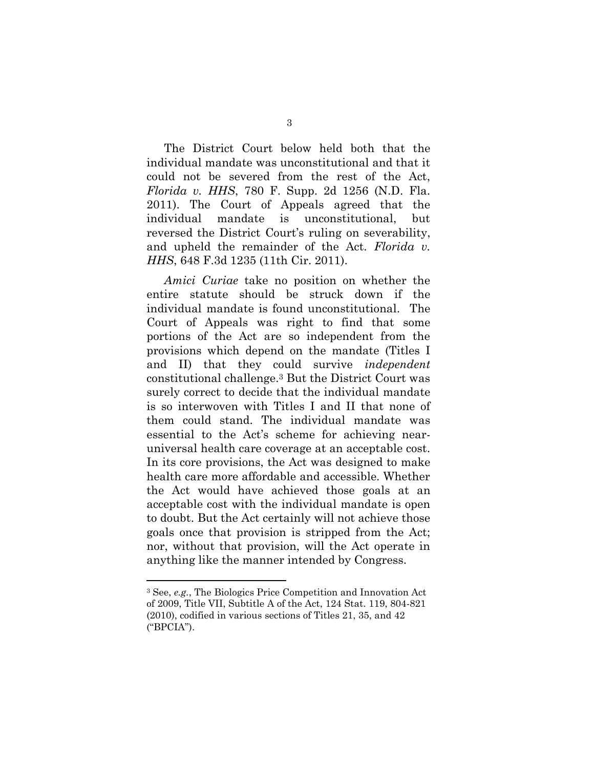The District Court below held both that the individual mandate was unconstitutional and that it could not be severed from the rest of the Act, *Florida v. HHS*, 780 F. Supp. 2d 1256 (N.D. Fla. 2011). The Court of Appeals agreed that the individual mandate is unconstitutional, but reversed the District Court's ruling on severability, and upheld the remainder of the Act. *Florida v. HHS*, 648 F.3d 1235 (11th Cir. 2011).

*Amici Curiae* take no position on whether the entire statute should be struck down if the individual mandate is found unconstitutional. The Court of Appeals was right to find that some portions of the Act are so independent from the provisions which depend on the mandate (Titles I and II) that they could survive *independent* constitutional challenge.<sup>3</sup> But the District Court was surely correct to decide that the individual mandate is so interwoven with Titles I and II that none of them could stand. The individual mandate was essential to the Act's scheme for achieving nearuniversal health care coverage at an acceptable cost. In its core provisions, the Act was designed to make health care more affordable and accessible. Whether the Act would have achieved those goals at an acceptable cost with the individual mandate is open to doubt. But the Act certainly will not achieve those goals once that provision is stripped from the Act; nor, without that provision, will the Act operate in anything like the manner intended by Congress.

<sup>3</sup> See, *e.g.*, The Biologics Price Competition and Innovation Act of 2009, Title VII, Subtitle A of the Act, 124 Stat. 119, 804-821 (2010), codified in various sections of Titles 21, 35, and 42 ("BPCIA").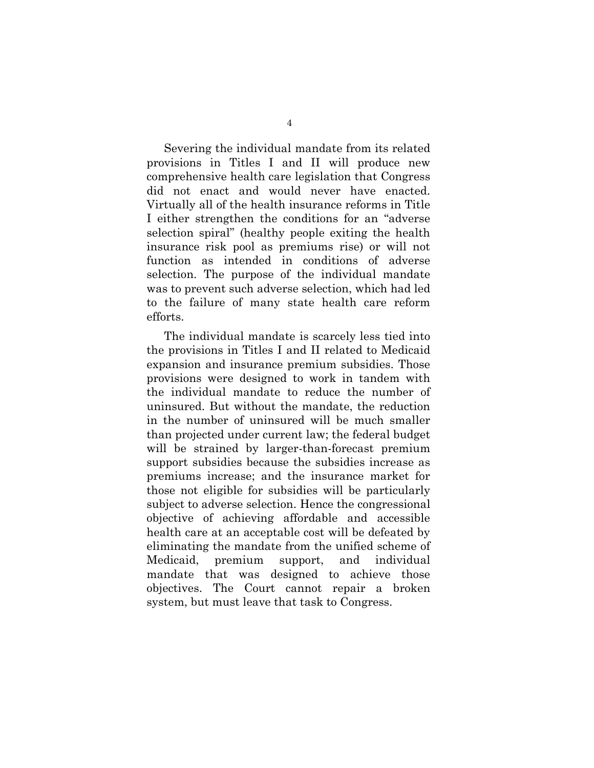Severing the individual mandate from its related provisions in Titles I and II will produce new comprehensive health care legislation that Congress did not enact and would never have enacted. Virtually all of the health insurance reforms in Title I either strengthen the conditions for an "adverse selection spiral" (healthy people exiting the health insurance risk pool as premiums rise) or will not function as intended in conditions of adverse selection. The purpose of the individual mandate was to prevent such adverse selection, which had led to the failure of many state health care reform efforts.

The individual mandate is scarcely less tied into the provisions in Titles I and II related to Medicaid expansion and insurance premium subsidies. Those provisions were designed to work in tandem with the individual mandate to reduce the number of uninsured. But without the mandate, the reduction in the number of uninsured will be much smaller than projected under current law; the federal budget will be strained by larger-than-forecast premium support subsidies because the subsidies increase as premiums increase; and the insurance market for those not eligible for subsidies will be particularly subject to adverse selection. Hence the congressional objective of achieving affordable and accessible health care at an acceptable cost will be defeated by eliminating the mandate from the unified scheme of Medicaid, premium support, and individual mandate that was designed to achieve those objectives. The Court cannot repair a broken system, but must leave that task to Congress.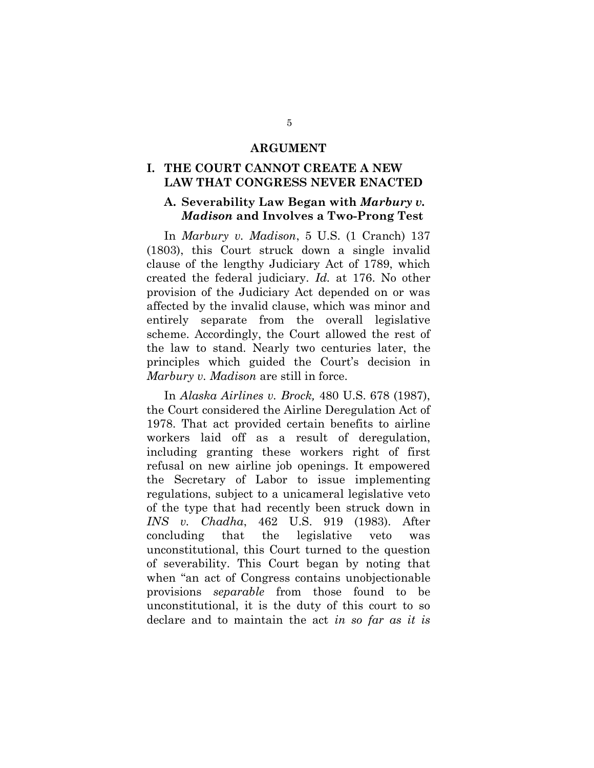#### **ARGUMENT**

#### **I. THE COURT CANNOT CREATE A NEW LAW THAT CONGRESS NEVER ENACTED**

#### **A. Severability Law Began with** *Marbury v. Madison* **and Involves a Two-Prong Test**

In *Marbury v. Madison*, 5 U.S. (1 Cranch) 137 (1803), this Court struck down a single invalid clause of the lengthy Judiciary Act of 1789, which created the federal judiciary. *Id.* at 176. No other provision of the Judiciary Act depended on or was affected by the invalid clause, which was minor and entirely separate from the overall legislative scheme. Accordingly, the Court allowed the rest of the law to stand. Nearly two centuries later, the principles which guided the Court's decision in *Marbury v. Madison* are still in force.

In *Alaska Airlines v. Brock,* 480 U.S. 678 (1987), the Court considered the Airline Deregulation Act of 1978. That act provided certain benefits to airline workers laid off as a result of deregulation, including granting these workers right of first refusal on new airline job openings. It empowered the Secretary of Labor to issue implementing regulations, subject to a unicameral legislative veto of the type that had recently been struck down in *INS v. Chadha*, 462 U.S. 919 (1983). After concluding that the legislative veto was unconstitutional, this Court turned to the question of severability. This Court began by noting that when "an act of Congress contains unobjectionable provisions *separable* from those found to be unconstitutional, it is the duty of this court to so declare and to maintain the act *in so far as it is*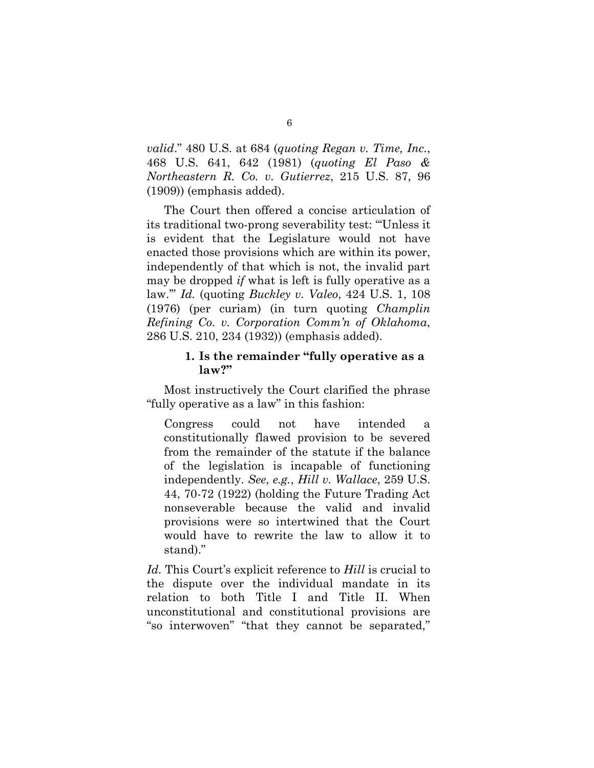*valid*." 480 U.S. at 684 (*quoting Regan v. Time, Inc.*, 468 U.S. 641, 642 (1981) (*quoting El Paso & Northeastern R. Co. v. Gutierrez*, 215 U.S. 87, 96 (1909)) (emphasis added).

The Court then offered a concise articulation of its traditional two-prong severability test: "'Unless it is evident that the Legislature would not have enacted those provisions which are within its power, independently of that which is not, the invalid part may be dropped *if* what is left is fully operative as a law.'" *Id.* (quoting *Buckley v. Valeo*, 424 U.S. 1, 108 (1976) (per curiam) (in turn quoting *Champlin Refining Co. v. Corporation Comm'n of Oklahoma*, 286 U.S. 210, 234 (1932)) (emphasis added).

#### **1. Is the remainder "fully operative as a law?"**

Most instructively the Court clarified the phrase "fully operative as a law" in this fashion:

Congress could not have intended a constitutionally flawed provision to be severed from the remainder of the statute if the balance of the legislation is incapable of functioning independently. *See*, *e.g.*, *Hill v. Wallace*, 259 U.S. 44, 70-72 (1922) (holding the Future Trading Act nonseverable because the valid and invalid provisions were so intertwined that the Court would have to rewrite the law to allow it to stand)."

*Id.* This Court's explicit reference to *Hill* is crucial to the dispute over the individual mandate in its relation to both Title I and Title II. When unconstitutional and constitutional provisions are "so interwoven" "that they cannot be separated,"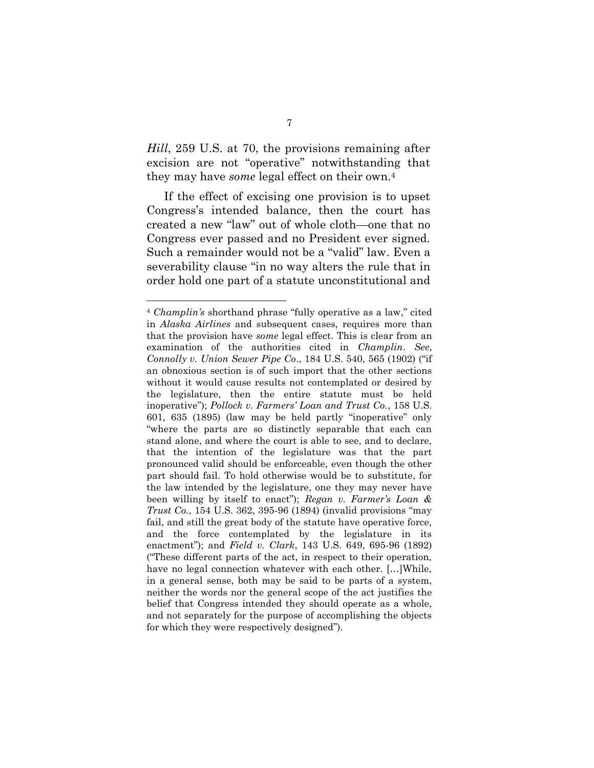*Hill*, 259 U.S. at 70, the provisions remaining after excision are not "operative" notwithstanding that they may have *some* legal effect on their own.<sup>4</sup>

If the effect of excising one provision is to upset Congress's intended balance, then the court has created a new "law" out of whole cloth—one that no Congress ever passed and no President ever signed. Such a remainder would not be a "valid" law. Even a severability clause "in no way alters the rule that in order hold one part of a statute unconstitutional and

 $\overline{a}$ 

<sup>4</sup> *Champlin's* shorthand phrase "fully operative as a law," cited in *Alaska Airlines* and subsequent cases, requires more than that the provision have *some* legal effect. This is clear from an examination of the authorities cited in *Champlin*. *See*, *Connolly v. Union Sewer Pipe Co*., 184 U.S. 540, 565 (1902) ("if an obnoxious section is of such import that the other sections without it would cause results not contemplated or desired by the legislature, then the entire statute must be held inoperative"); *Pollock v. Farmers' Loan and Trust Co.*, 158 U.S. 601, 635 (1895) (law may be held partly "inoperative" only "where the parts are so distinctly separable that each can stand alone, and where the court is able to see, and to declare, that the intention of the legislature was that the part pronounced valid should be enforceable, even though the other part should fail. To hold otherwise would be to substitute, for the law intended by the legislature, one they may never have been willing by itself to enact"); *Regan v. Farmer's Loan & Trust Co.*, 154 U.S. 362, 395-96 (1894) (invalid provisions "may fail, and still the great body of the statute have operative force, and the force contemplated by the legislature in its enactment"); and *Field v. Clark*, 143 U.S. 649, 695-96 (1892) ("These different parts of the act, in respect to their operation, have no legal connection whatever with each other. […]While, in a general sense, both may be said to be parts of a system, neither the words nor the general scope of the act justifies the belief that Congress intended they should operate as a whole, and not separately for the purpose of accomplishing the objects for which they were respectively designed").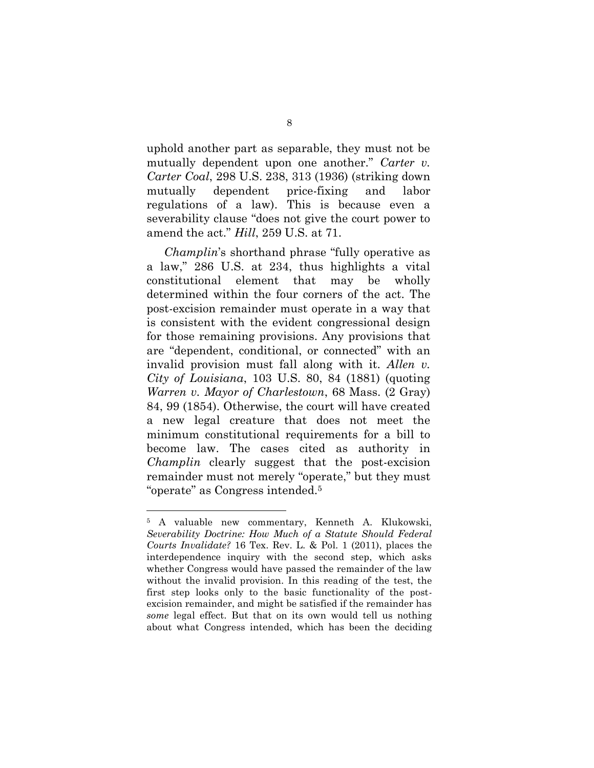uphold another part as separable, they must not be mutually dependent upon one another." *Carter v. Carter Coal*, 298 U.S. 238, 313 (1936) (striking down mutually dependent price-fixing and labor regulations of a law). This is because even a severability clause "does not give the court power to amend the act." *Hill*, 259 U.S. at 71.

*Champlin*'s shorthand phrase "fully operative as a law," 286 U.S. at 234, thus highlights a vital constitutional element that may be wholly determined within the four corners of the act. The post-excision remainder must operate in a way that is consistent with the evident congressional design for those remaining provisions. Any provisions that are "dependent, conditional, or connected" with an invalid provision must fall along with it. *Allen v. City of Louisiana*, 103 U.S. 80, 84 (1881) (quoting *Warren v. Mayor of Charlestown*, 68 Mass. (2 Gray) 84, 99 (1854). Otherwise, the court will have created a new legal creature that does not meet the minimum constitutional requirements for a bill to become law. The cases cited as authority in *Champlin* clearly suggest that the post-excision remainder must not merely "operate," but they must "operate" as Congress intended.<sup>5</sup>

 $\overline{a}$ 

<sup>5</sup> A valuable new commentary, Kenneth A. Klukowski, *Severability Doctrine: How Much of a Statute Should Federal Courts Invalidate?* 16 Tex. Rev. L. & Pol. 1 (2011), places the interdependence inquiry with the second step, which asks whether Congress would have passed the remainder of the law without the invalid provision. In this reading of the test, the first step looks only to the basic functionality of the postexcision remainder, and might be satisfied if the remainder has *some* legal effect. But that on its own would tell us nothing about what Congress intended, which has been the deciding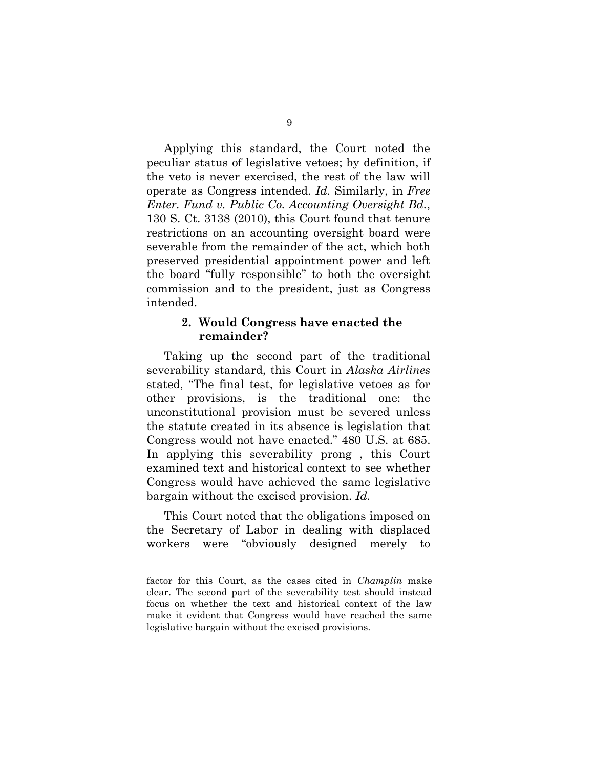Applying this standard, the Court noted the peculiar status of legislative vetoes; by definition, if the veto is never exercised, the rest of the law will operate as Congress intended. *Id.* Similarly, in *Free Enter. Fund v. Public Co. Accounting Oversight Bd.*, 130 S. Ct. 3138 (2010), this Court found that tenure restrictions on an accounting oversight board were severable from the remainder of the act, which both preserved presidential appointment power and left the board "fully responsible" to both the oversight commission and to the president, just as Congress intended.

#### **2. Would Congress have enacted the remainder?**

Taking up the second part of the traditional severability standard, this Court in *Alaska Airlines* stated, "The final test, for legislative vetoes as for other provisions, is the traditional one: the unconstitutional provision must be severed unless the statute created in its absence is legislation that Congress would not have enacted." 480 U.S. at 685. In applying this severability prong , this Court examined text and historical context to see whether Congress would have achieved the same legislative bargain without the excised provision. *Id.*

This Court noted that the obligations imposed on the Secretary of Labor in dealing with displaced workers were "obviously designed merely to

factor for this Court, as the cases cited in *Champlin* make clear. The second part of the severability test should instead focus on whether the text and historical context of the law make it evident that Congress would have reached the same legislative bargain without the excised provisions.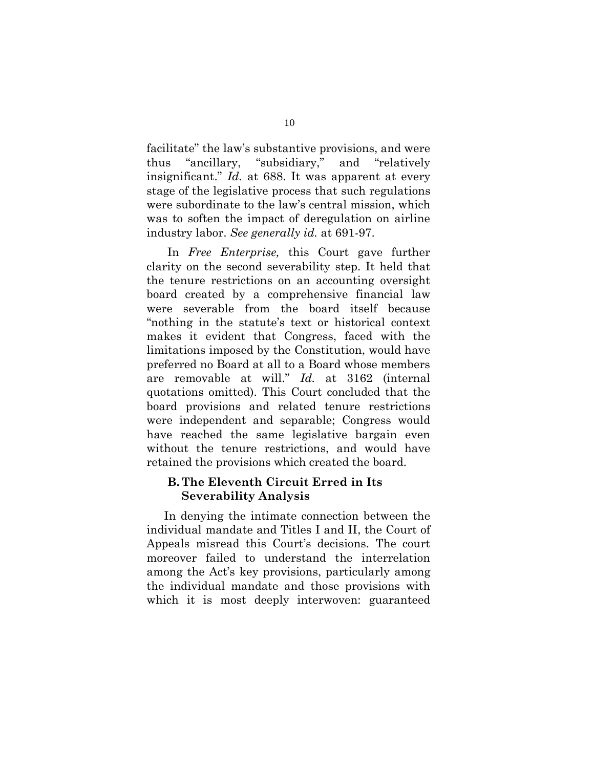facilitate" the law's substantive provisions, and were thus "ancillary, "subsidiary," and "relatively insignificant." *Id.* at 688. It was apparent at every stage of the legislative process that such regulations were subordinate to the law's central mission, which was to soften the impact of deregulation on airline industry labor. *See generally id.* at 691-97.

In *Free Enterprise,* this Court gave further clarity on the second severability step. It held that the tenure restrictions on an accounting oversight board created by a comprehensive financial law were severable from the board itself because "nothing in the statute's text or historical context makes it evident that Congress, faced with the limitations imposed by the Constitution, would have preferred no Board at all to a Board whose members are removable at will." *Id.* at 3162 (internal quotations omitted). This Court concluded that the board provisions and related tenure restrictions were independent and separable; Congress would have reached the same legislative bargain even without the tenure restrictions, and would have retained the provisions which created the board.

## **B. The Eleventh Circuit Erred in Its Severability Analysis**

In denying the intimate connection between the individual mandate and Titles I and II, the Court of Appeals misread this Court's decisions. The court moreover failed to understand the interrelation among the Act's key provisions, particularly among the individual mandate and those provisions with which it is most deeply interwoven: guaranteed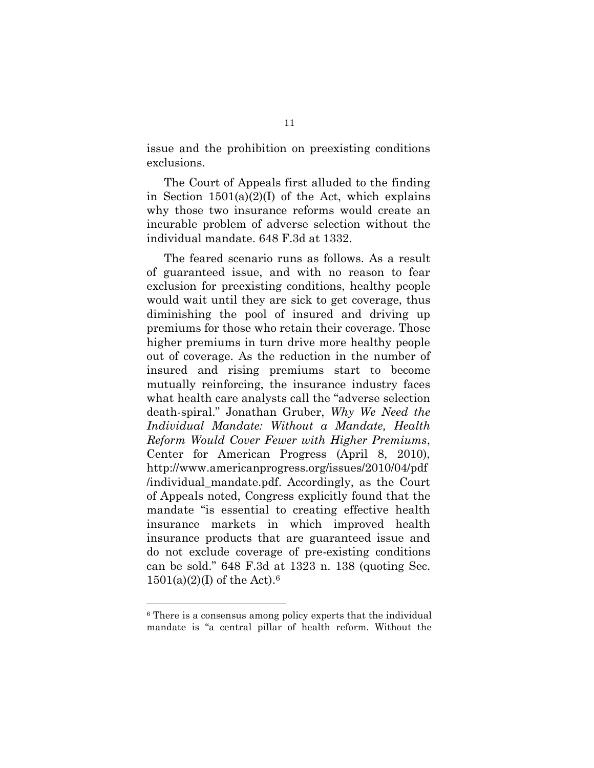issue and the prohibition on preexisting conditions exclusions.

The Court of Appeals first alluded to the finding in Section  $1501(a)(2)(1)$  of the Act, which explains why those two insurance reforms would create an incurable problem of adverse selection without the individual mandate. 648 F.3d at 1332.

The feared scenario runs as follows. As a result of guaranteed issue, and with no reason to fear exclusion for preexisting conditions, healthy people would wait until they are sick to get coverage, thus diminishing the pool of insured and driving up premiums for those who retain their coverage. Those higher premiums in turn drive more healthy people out of coverage. As the reduction in the number of insured and rising premiums start to become mutually reinforcing, the insurance industry faces what health care analysts call the "adverse selection death-spiral." Jonathan Gruber, *Why We Need the Individual Mandate: Without a Mandate, Health Reform Would Cover Fewer with Higher Premiums*, Center for American Progress (April 8, 2010), http://www.americanprogress.org/issues/2010/04/pdf /individual\_mandate.pdf. Accordingly, as the Court of Appeals noted, Congress explicitly found that the mandate "is essential to creating effective health insurance markets in which improved health insurance products that are guaranteed issue and do not exclude coverage of pre-existing conditions can be sold." 648 F.3d at 1323 n. 138 (quoting Sec.  $1501(a)(2)(I)$  of the Act).<sup>6</sup>

<sup>6</sup> There is a consensus among policy experts that the individual mandate is "a central pillar of health reform. Without the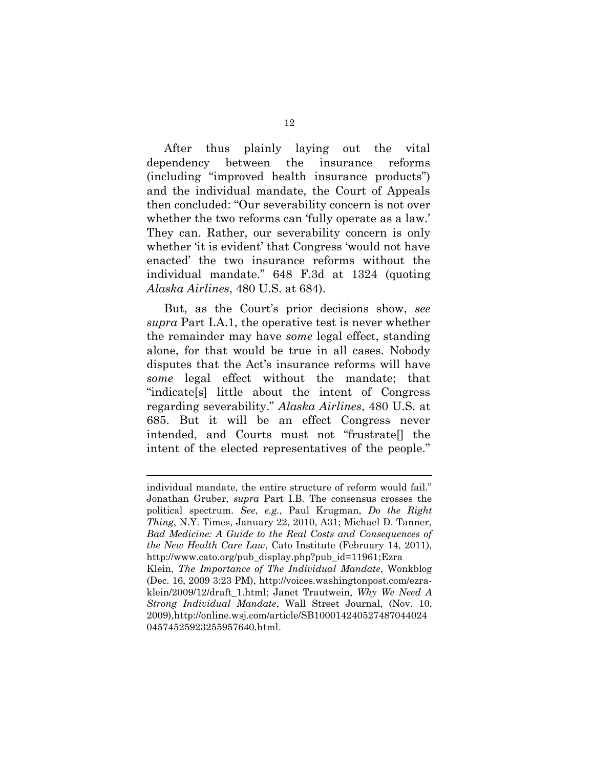After thus plainly laying out the vital dependency between the insurance reforms (including "improved health insurance products") and the individual mandate, the Court of Appeals then concluded: "Our severability concern is not over whether the two reforms can 'fully operate as a law.' They can. Rather, our severability concern is only whether 'it is evident' that Congress 'would not have enacted' the two insurance reforms without the individual mandate." 648 F.3d at 1324 (quoting *Alaska Airlines*, 480 U.S. at 684).

But, as the Court's prior decisions show, *see supra* Part I.A.1, the operative test is never whether the remainder may have *some* legal effect, standing alone, for that would be true in all cases. Nobody disputes that the Act's insurance reforms will have *some* legal effect without the mandate; that "indicate[s] little about the intent of Congress regarding severability." *Alaska Airlines*, 480 U.S. at 685. But it will be an effect Congress never intended, and Courts must not "frustrate[] the intent of the elected representatives of the people."

individual mandate, the entire structure of reform would fail." Jonathan Gruber, *supra* Part I.B*.* The consensus crosses the political spectrum. *See*, *e.g.*, Paul Krugman, *Do the Right Thing*, N.Y. Times, January 22, 2010, A31; Michael D. Tanner, *Bad Medicine: A Guide to the Real Costs and Consequences of the New Health Care Law*, Cato Institute (February 14, 2011), http://www.cato.org/pub\_display.php?pub\_id=11961;Ezra Klein, *The Importance of The Individual Mandate*, Wonkblog (Dec. 16, 2009 3:23 PM), http://voices.washingtonpost.com/ezraklein/2009/12/draft\_1.html; Janet Trautwein, *Why We Need A* 

*Strong Individual Mandate*, Wall Street Journal, (Nov. 10, 2009),http://online.wsj.com/article/SB100014240527487044024 04574525923255957640.html.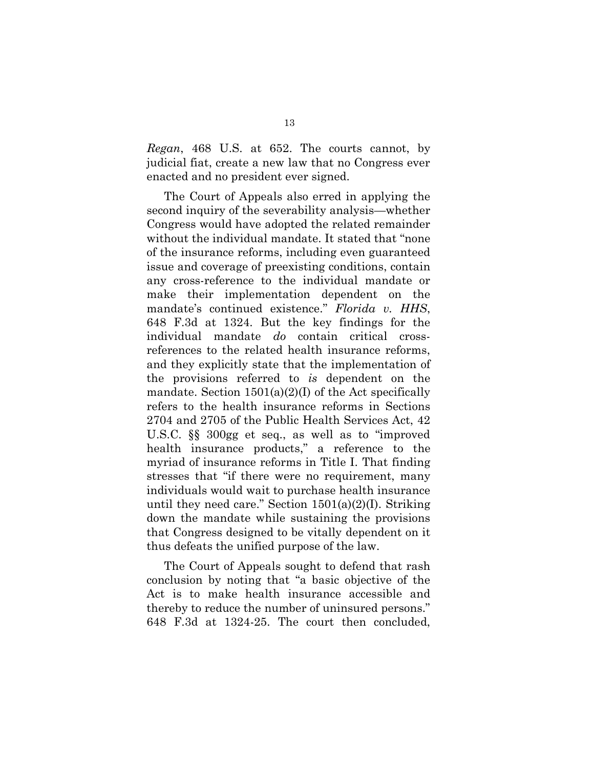*Regan*, 468 U.S. at 652. The courts cannot, by judicial fiat, create a new law that no Congress ever enacted and no president ever signed.

The Court of Appeals also erred in applying the second inquiry of the severability analysis—whether Congress would have adopted the related remainder without the individual mandate. It stated that "none of the insurance reforms, including even guaranteed issue and coverage of preexisting conditions, contain any cross-reference to the individual mandate or make their implementation dependent on the mandate's continued existence." *Florida v. HHS*, 648 F.3d at 1324. But the key findings for the individual mandate *do* contain critical crossreferences to the related health insurance reforms, and they explicitly state that the implementation of the provisions referred to *is* dependent on the mandate. Section  $1501(a)(2)(I)$  of the Act specifically refers to the health insurance reforms in Sections 2704 and 2705 of the Public Health Services Act, 42 U.S.C. §§ 300gg et seq., as well as to "improved health insurance products," a reference to the myriad of insurance reforms in Title I. That finding stresses that "if there were no requirement, many individuals would wait to purchase health insurance until they need care." Section  $1501(a)(2)(I)$ . Striking down the mandate while sustaining the provisions that Congress designed to be vitally dependent on it thus defeats the unified purpose of the law.

The Court of Appeals sought to defend that rash conclusion by noting that "a basic objective of the Act is to make health insurance accessible and thereby to reduce the number of uninsured persons." 648 F.3d at 1324-25. The court then concluded,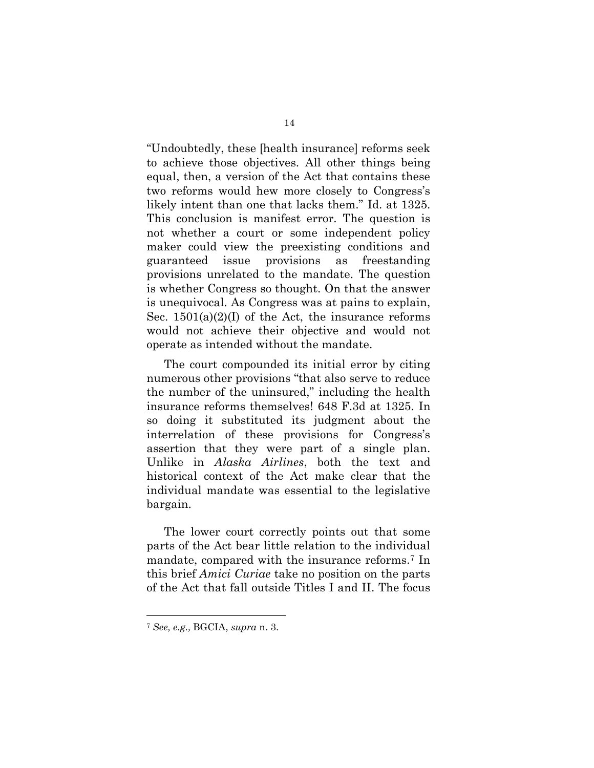"Undoubtedly, these [health insurance] reforms seek to achieve those objectives. All other things being equal, then, a version of the Act that contains these two reforms would hew more closely to Congress's likely intent than one that lacks them." Id. at 1325. This conclusion is manifest error. The question is not whether a court or some independent policy maker could view the preexisting conditions and guaranteed issue provisions as freestanding provisions unrelated to the mandate. The question is whether Congress so thought. On that the answer is unequivocal. As Congress was at pains to explain, Sec.  $1501(a)(2)(I)$  of the Act, the insurance reforms would not achieve their objective and would not operate as intended without the mandate.

The court compounded its initial error by citing numerous other provisions "that also serve to reduce the number of the uninsured," including the health insurance reforms themselves! 648 F.3d at 1325. In so doing it substituted its judgment about the interrelation of these provisions for Congress's assertion that they were part of a single plan. Unlike in *Alaska Airlines*, both the text and historical context of the Act make clear that the individual mandate was essential to the legislative bargain.

The lower court correctly points out that some parts of the Act bear little relation to the individual mandate, compared with the insurance reforms.<sup>7</sup> In this brief *Amici Curiae* take no position on the parts of the Act that fall outside Titles I and II. The focus

<sup>7</sup> *See, e.g.,* BGCIA, *supra* n. 3.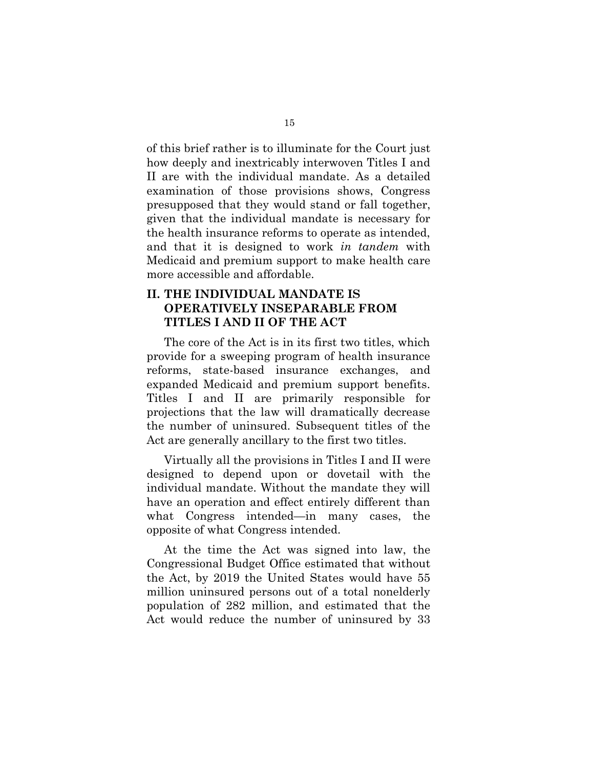of this brief rather is to illuminate for the Court just how deeply and inextricably interwoven Titles I and II are with the individual mandate. As a detailed examination of those provisions shows, Congress presupposed that they would stand or fall together, given that the individual mandate is necessary for the health insurance reforms to operate as intended, and that it is designed to work *in tandem* with Medicaid and premium support to make health care more accessible and affordable.

# **II. THE INDIVIDUAL MANDATE IS OPERATIVELY INSEPARABLE FROM TITLES I AND II OF THE ACT**

The core of the Act is in its first two titles, which provide for a sweeping program of health insurance reforms, state-based insurance exchanges, and expanded Medicaid and premium support benefits. Titles I and II are primarily responsible for projections that the law will dramatically decrease the number of uninsured. Subsequent titles of the Act are generally ancillary to the first two titles.

Virtually all the provisions in Titles I and II were designed to depend upon or dovetail with the individual mandate. Without the mandate they will have an operation and effect entirely different than what Congress intended—in many cases, the opposite of what Congress intended.

At the time the Act was signed into law, the Congressional Budget Office estimated that without the Act, by 2019 the United States would have 55 million uninsured persons out of a total nonelderly population of 282 million, and estimated that the Act would reduce the number of uninsured by 33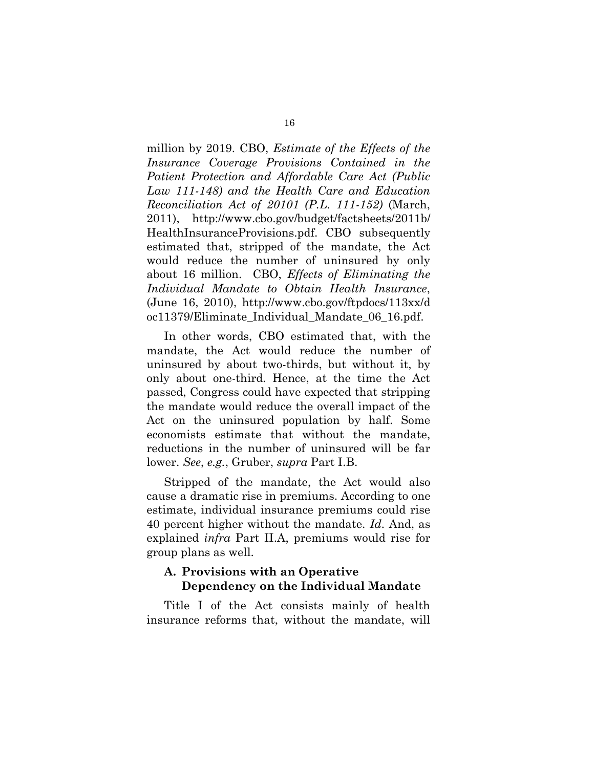million by 2019. CBO, *Estimate of the Effects of the Insurance Coverage Provisions Contained in the Patient Protection and Affordable Care Act (Public Law 111-148) and the Health Care and Education Reconciliation Act of 20101 (P.L. 111-152)* (March, 2011), http://www.cbo.gov/budget/factsheets/2011b/ HealthInsuranceProvisions.pdf. CBO subsequently estimated that, stripped of the mandate, the Act would reduce the number of uninsured by only about 16 million. CBO, *Effects of Eliminating the Individual Mandate to Obtain Health Insurance*, (June 16, 2010), http://www.cbo.gov/ftpdocs/113xx/d oc11379/Eliminate\_Individual\_Mandate\_06\_16.pdf.

In other words, CBO estimated that, with the mandate, the Act would reduce the number of uninsured by about two-thirds, but without it, by only about one-third. Hence, at the time the Act passed, Congress could have expected that stripping the mandate would reduce the overall impact of the Act on the uninsured population by half. Some economists estimate that without the mandate, reductions in the number of uninsured will be far lower. *See*, *e.g.*, Gruber, *supra* Part I.B.

Stripped of the mandate, the Act would also cause a dramatic rise in premiums. According to one estimate, individual insurance premiums could rise 40 percent higher without the mandate. *Id.* And, as explained *infra* Part II.A, premiums would rise for group plans as well.

## **A. Provisions with an Operative Dependency on the Individual Mandate**

Title I of the Act consists mainly of health insurance reforms that, without the mandate, will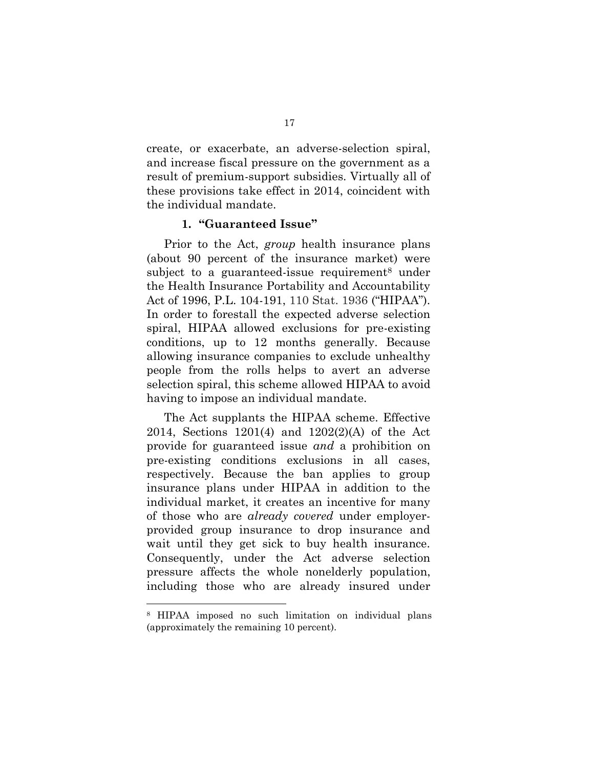create, or exacerbate, an adverse-selection spiral, and increase fiscal pressure on the government as a result of premium-support subsidies. Virtually all of these provisions take effect in 2014, coincident with the individual mandate.

#### **1. "Guaranteed Issue"**

Prior to the Act, *group* health insurance plans (about 90 percent of the insurance market) were subject to a guaranteed-issue requirement<sup>8</sup> under the Health Insurance Portability and Accountability Act of 1996, P.L. 104-191, 110 Stat. 1936 ("HIPAA"). In order to forestall the expected adverse selection spiral, HIPAA allowed exclusions for pre-existing conditions, up to 12 months generally. Because allowing insurance companies to exclude unhealthy people from the rolls helps to avert an adverse selection spiral, this scheme allowed HIPAA to avoid having to impose an individual mandate.

The Act supplants the HIPAA scheme. Effective 2014, Sections 1201(4) and 1202(2)(A) of the Act provide for guaranteed issue *and* a prohibition on pre-existing conditions exclusions in all cases, respectively. Because the ban applies to group insurance plans under HIPAA in addition to the individual market, it creates an incentive for many of those who are *already covered* under employerprovided group insurance to drop insurance and wait until they get sick to buy health insurance. Consequently, under the Act adverse selection pressure affects the whole nonelderly population, including those who are already insured under

<sup>8</sup> HIPAA imposed no such limitation on individual plans (approximately the remaining 10 percent).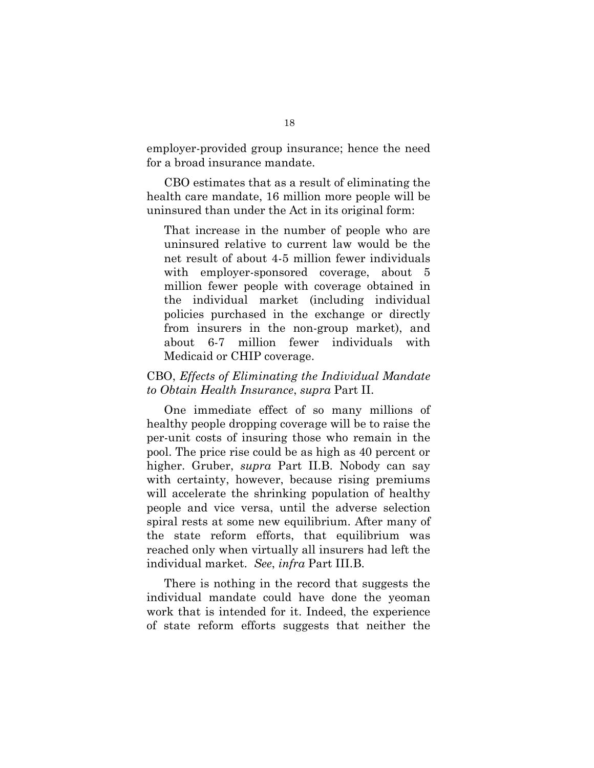employer-provided group insurance; hence the need for a broad insurance mandate.

CBO estimates that as a result of eliminating the health care mandate, 16 million more people will be uninsured than under the Act in its original form:

That increase in the number of people who are uninsured relative to current law would be the net result of about 4-5 million fewer individuals with employer-sponsored coverage, about 5 million fewer people with coverage obtained in the individual market (including individual policies purchased in the exchange or directly from insurers in the non-group market), and about 6-7 million fewer individuals with Medicaid or CHIP coverage.

## CBO, *Effects of Eliminating the Individual Mandate to Obtain Health Insurance*, *supra* Part II.

One immediate effect of so many millions of healthy people dropping coverage will be to raise the per-unit costs of insuring those who remain in the pool. The price rise could be as high as 40 percent or higher. Gruber, *supra* Part II.B. Nobody can say with certainty, however, because rising premiums will accelerate the shrinking population of healthy people and vice versa, until the adverse selection spiral rests at some new equilibrium. After many of the state reform efforts, that equilibrium was reached only when virtually all insurers had left the individual market. *See*, *infra* Part III.B.

There is nothing in the record that suggests the individual mandate could have done the yeoman work that is intended for it. Indeed, the experience of state reform efforts suggests that neither the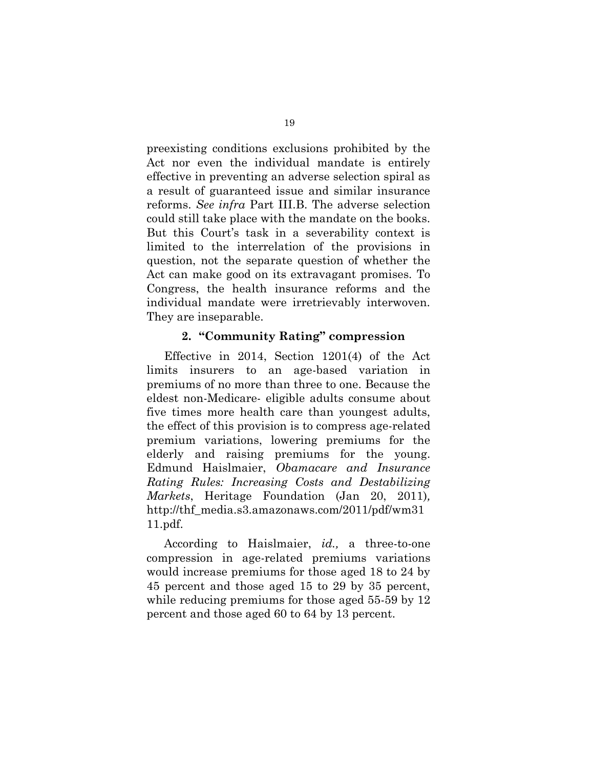preexisting conditions exclusions prohibited by the Act nor even the individual mandate is entirely effective in preventing an adverse selection spiral as a result of guaranteed issue and similar insurance reforms. *See infra* Part III.B. The adverse selection could still take place with the mandate on the books. But this Court's task in a severability context is limited to the interrelation of the provisions in question, not the separate question of whether the Act can make good on its extravagant promises. To Congress, the health insurance reforms and the individual mandate were irretrievably interwoven. They are inseparable.

#### **2. "Community Rating" compression**

Effective in 2014, Section 1201(4) of the Act limits insurers to an age-based variation in premiums of no more than three to one. Because the eldest non-Medicare- eligible adults consume about five times more health care than youngest adults, the effect of this provision is to compress age-related premium variations, lowering premiums for the elderly and raising premiums for the young. Edmund Haislmaier, *Obamacare and Insurance Rating Rules: Increasing Costs and Destabilizing Markets*, Heritage Foundation (Jan 20, 2011)*,* http://thf\_media.s3.amazonaws.com/2011/pdf/wm31 11.pdf.

According to Haislmaier, *id.,* a three-to-one compression in age-related premiums variations would increase premiums for those aged 18 to 24 by 45 percent and those aged 15 to 29 by 35 percent, while reducing premiums for those aged 55-59 by 12 percent and those aged 60 to 64 by 13 percent.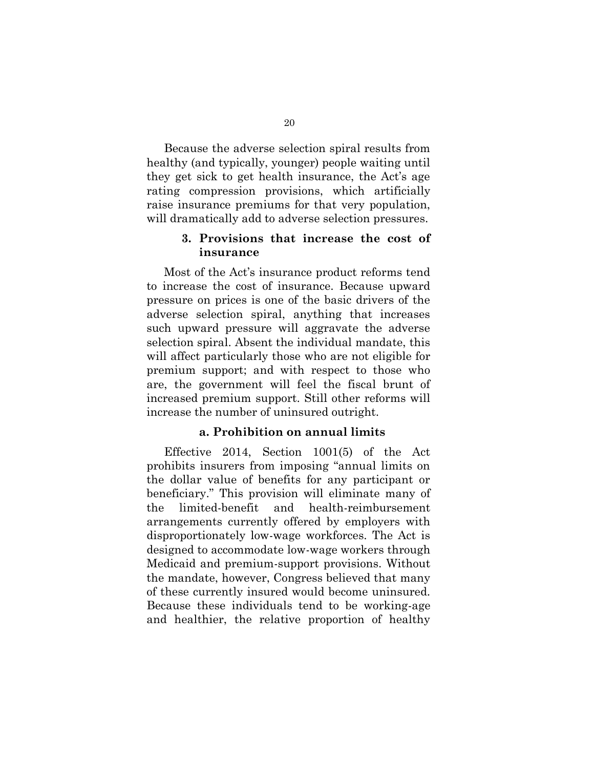Because the adverse selection spiral results from healthy (and typically, younger) people waiting until they get sick to get health insurance, the Act's age rating compression provisions, which artificially raise insurance premiums for that very population, will dramatically add to adverse selection pressures.

#### **3. Provisions that increase the cost of insurance**

Most of the Act's insurance product reforms tend to increase the cost of insurance. Because upward pressure on prices is one of the basic drivers of the adverse selection spiral, anything that increases such upward pressure will aggravate the adverse selection spiral. Absent the individual mandate, this will affect particularly those who are not eligible for premium support; and with respect to those who are, the government will feel the fiscal brunt of increased premium support. Still other reforms will increase the number of uninsured outright.

#### **a. Prohibition on annual limits**

Effective 2014, Section 1001(5) of the Act prohibits insurers from imposing "annual limits on the dollar value of benefits for any participant or beneficiary." This provision will eliminate many of the limited-benefit and health-reimbursement arrangements currently offered by employers with disproportionately low-wage workforces. The Act is designed to accommodate low-wage workers through Medicaid and premium-support provisions. Without the mandate, however, Congress believed that many of these currently insured would become uninsured. Because these individuals tend to be working-age and healthier, the relative proportion of healthy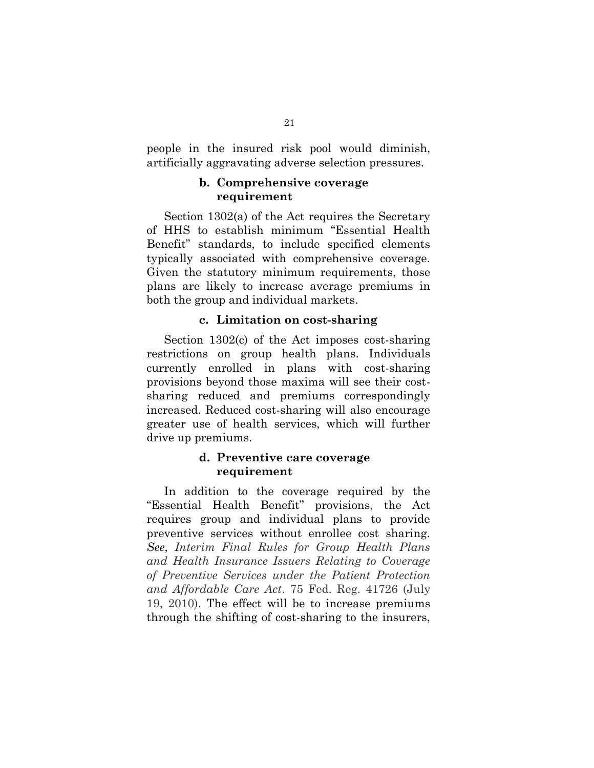people in the insured risk pool would diminish, artificially aggravating adverse selection pressures.

## **b. Comprehensive coverage requirement**

Section 1302(a) of the Act requires the Secretary of HHS to establish minimum "Essential Health Benefit" standards, to include specified elements typically associated with comprehensive coverage. Given the statutory minimum requirements, those plans are likely to increase average premiums in both the group and individual markets.

#### **c. Limitation on cost-sharing**

Section 1302(c) of the Act imposes cost-sharing restrictions on group health plans. Individuals currently enrolled in plans with cost-sharing provisions beyond those maxima will see their costsharing reduced and premiums correspondingly increased. Reduced cost-sharing will also encourage greater use of health services, which will further drive up premiums.

#### **d. Preventive care coverage requirement**

In addition to the coverage required by the "Essential Health Benefit" provisions, the Act requires group and individual plans to provide preventive services without enrollee cost sharing. *See*, *Interim Final Rules for Group Health Plans and Health Insurance Issuers Relating to Coverage of Preventive Services under the Patient Protection and Affordable Care Act*. 75 Fed. Reg. 41726 (July 19, 2010). The effect will be to increase premiums through the shifting of cost-sharing to the insurers,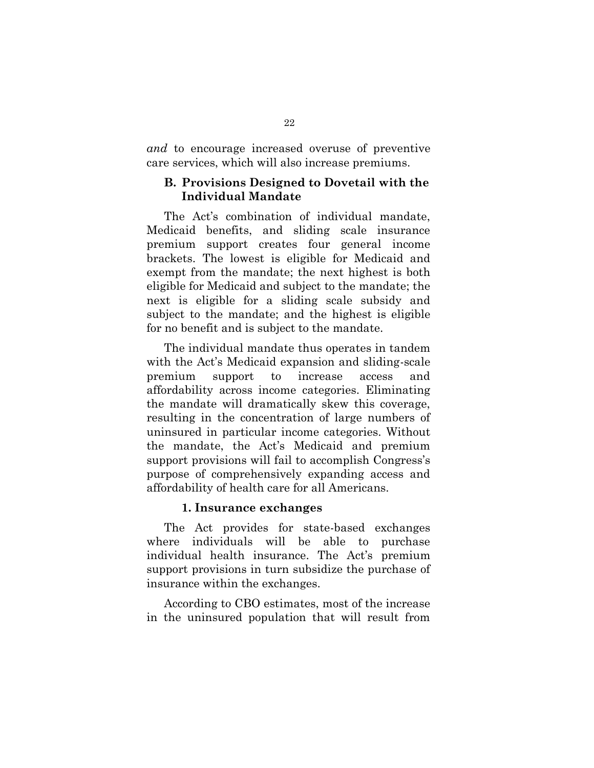*and* to encourage increased overuse of preventive care services, which will also increase premiums.

## **B. Provisions Designed to Dovetail with the Individual Mandate**

The Act's combination of individual mandate, Medicaid benefits, and sliding scale insurance premium support creates four general income brackets. The lowest is eligible for Medicaid and exempt from the mandate; the next highest is both eligible for Medicaid and subject to the mandate; the next is eligible for a sliding scale subsidy and subject to the mandate; and the highest is eligible for no benefit and is subject to the mandate.

The individual mandate thus operates in tandem with the Act's Medicaid expansion and sliding-scale premium support to increase access and affordability across income categories. Eliminating the mandate will dramatically skew this coverage, resulting in the concentration of large numbers of uninsured in particular income categories. Without the mandate, the Act's Medicaid and premium support provisions will fail to accomplish Congress's purpose of comprehensively expanding access and affordability of health care for all Americans.

#### **1. Insurance exchanges**

The Act provides for state-based exchanges where individuals will be able to purchase individual health insurance. The Act's premium support provisions in turn subsidize the purchase of insurance within the exchanges.

According to CBO estimates, most of the increase in the uninsured population that will result from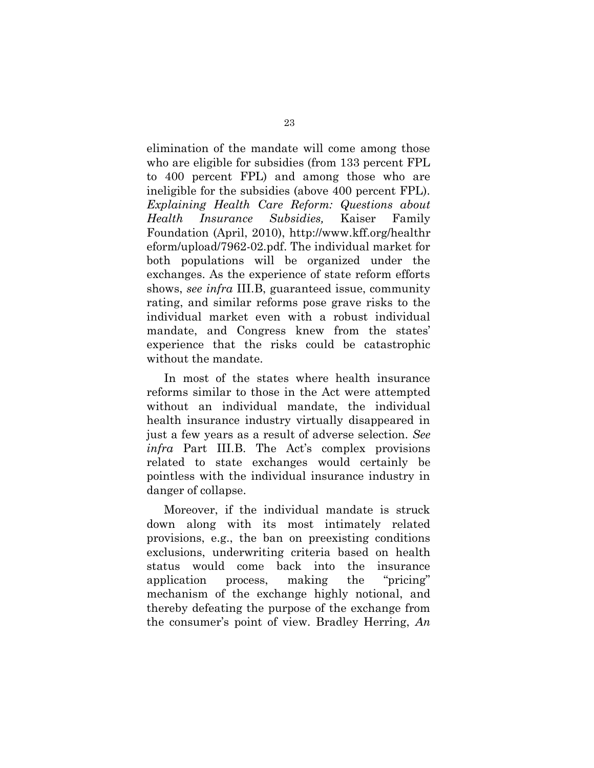elimination of the mandate will come among those who are eligible for subsidies (from 133 percent FPL to 400 percent FPL) and among those who are ineligible for the subsidies (above 400 percent FPL). *Explaining Health Care Reform: Questions about Health Insurance Subsidies,* Kaiser Family Foundation (April, 2010), http://www.kff.org/healthr eform/upload/7962-02.pdf. The individual market for both populations will be organized under the exchanges. As the experience of state reform efforts shows, *see infra* III.B, guaranteed issue, community rating, and similar reforms pose grave risks to the individual market even with a robust individual mandate, and Congress knew from the states' experience that the risks could be catastrophic without the mandate.

In most of the states where health insurance reforms similar to those in the Act were attempted without an individual mandate, the individual health insurance industry virtually disappeared in just a few years as a result of adverse selection. *See infra* Part III.B. The Act's complex provisions related to state exchanges would certainly be pointless with the individual insurance industry in danger of collapse.

Moreover, if the individual mandate is struck down along with its most intimately related provisions, e.g., the ban on preexisting conditions exclusions, underwriting criteria based on health status would come back into the insurance application process, making the "pricing" mechanism of the exchange highly notional, and thereby defeating the purpose of the exchange from the consumer's point of view. Bradley Herring, *An*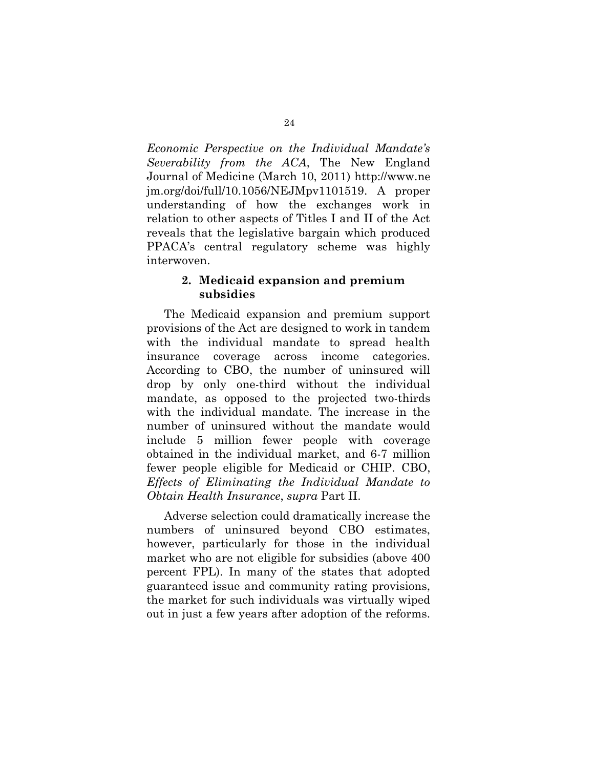*Economic Perspective on the Individual Mandate's Severability from the ACA*, The New England Journal of Medicine (March 10, 2011) http://www.ne jm.org/doi/full/10.1056/NEJMpv1101519. A proper understanding of how the exchanges work in relation to other aspects of Titles I and II of the Act reveals that the legislative bargain which produced PPACA's central regulatory scheme was highly interwoven.

#### **2. Medicaid expansion and premium subsidies**

The Medicaid expansion and premium support provisions of the Act are designed to work in tandem with the individual mandate to spread health insurance coverage across income categories. According to CBO, the number of uninsured will drop by only one-third without the individual mandate, as opposed to the projected two-thirds with the individual mandate. The increase in the number of uninsured without the mandate would include 5 million fewer people with coverage obtained in the individual market, and 6-7 million fewer people eligible for Medicaid or CHIP. CBO, *Effects of Eliminating the Individual Mandate to Obtain Health Insurance*, *supra* Part II.

Adverse selection could dramatically increase the numbers of uninsured beyond CBO estimates, however, particularly for those in the individual market who are not eligible for subsidies (above 400 percent FPL). In many of the states that adopted guaranteed issue and community rating provisions, the market for such individuals was virtually wiped out in just a few years after adoption of the reforms.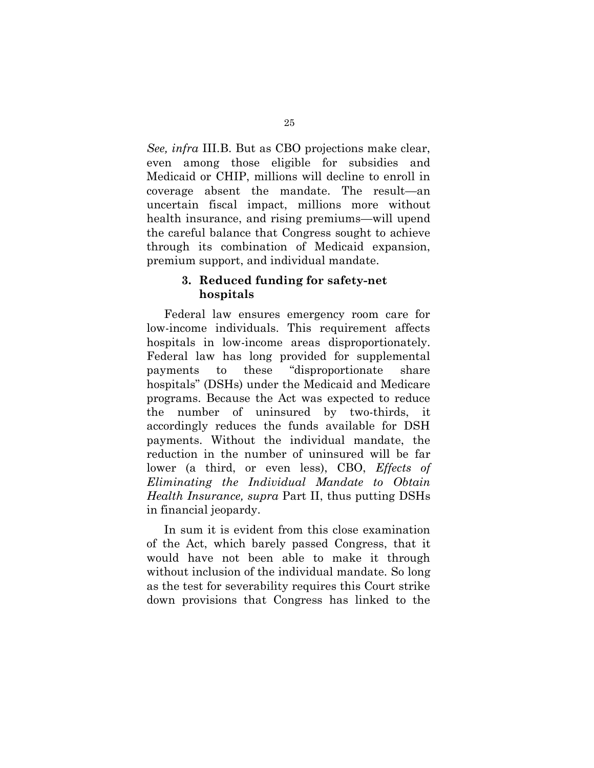*See, infra* III.B. But as CBO projections make clear, even among those eligible for subsidies and Medicaid or CHIP, millions will decline to enroll in coverage absent the mandate. The result—an uncertain fiscal impact, millions more without health insurance, and rising premiums—will upend the careful balance that Congress sought to achieve through its combination of Medicaid expansion, premium support, and individual mandate.

## **3. Reduced funding for safety-net hospitals**

Federal law ensures emergency room care for low-income individuals. This requirement affects hospitals in low-income areas disproportionately. Federal law has long provided for supplemental payments to these "disproportionate share hospitals" (DSHs) under the Medicaid and Medicare programs. Because the Act was expected to reduce the number of uninsured by two-thirds, it accordingly reduces the funds available for DSH payments. Without the individual mandate, the reduction in the number of uninsured will be far lower (a third, or even less), CBO, *Effects of Eliminating the Individual Mandate to Obtain Health Insurance, supra* Part II, thus putting DSHs in financial jeopardy.

In sum it is evident from this close examination of the Act, which barely passed Congress, that it would have not been able to make it through without inclusion of the individual mandate. So long as the test for severability requires this Court strike down provisions that Congress has linked to the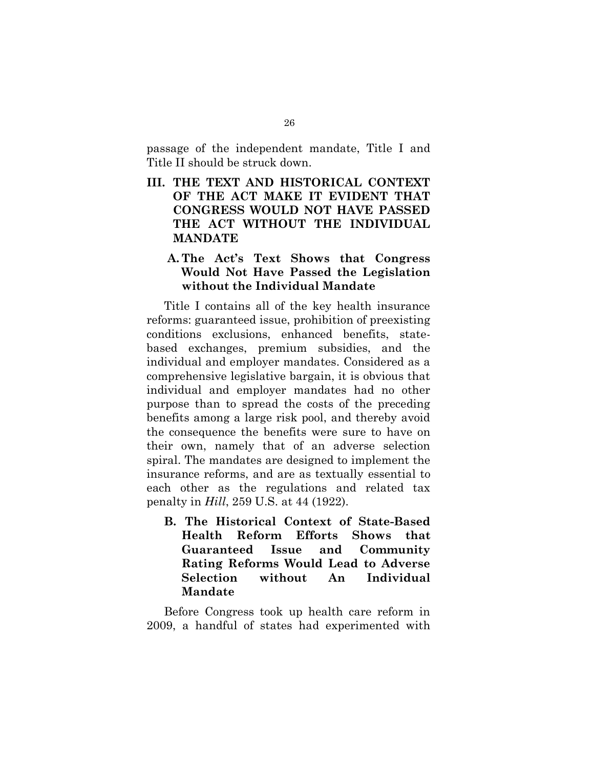passage of the independent mandate, Title I and Title II should be struck down.

**III. THE TEXT AND HISTORICAL CONTEXT OF THE ACT MAKE IT EVIDENT THAT CONGRESS WOULD NOT HAVE PASSED THE ACT WITHOUT THE INDIVIDUAL MANDATE** 

## **A. The Act's Text Shows that Congress Would Not Have Passed the Legislation without the Individual Mandate**

Title I contains all of the key health insurance reforms: guaranteed issue, prohibition of preexisting conditions exclusions, enhanced benefits, statebased exchanges, premium subsidies, and the individual and employer mandates. Considered as a comprehensive legislative bargain, it is obvious that individual and employer mandates had no other purpose than to spread the costs of the preceding benefits among a large risk pool, and thereby avoid the consequence the benefits were sure to have on their own, namely that of an adverse selection spiral. The mandates are designed to implement the insurance reforms, and are as textually essential to each other as the regulations and related tax penalty in *Hill*, 259 U.S. at 44 (1922).

**B. The Historical Context of State-Based Health Reform Efforts Shows that Guaranteed Issue and Community Rating Reforms Would Lead to Adverse Selection without An Individual Mandate**

Before Congress took up health care reform in 2009, a handful of states had experimented with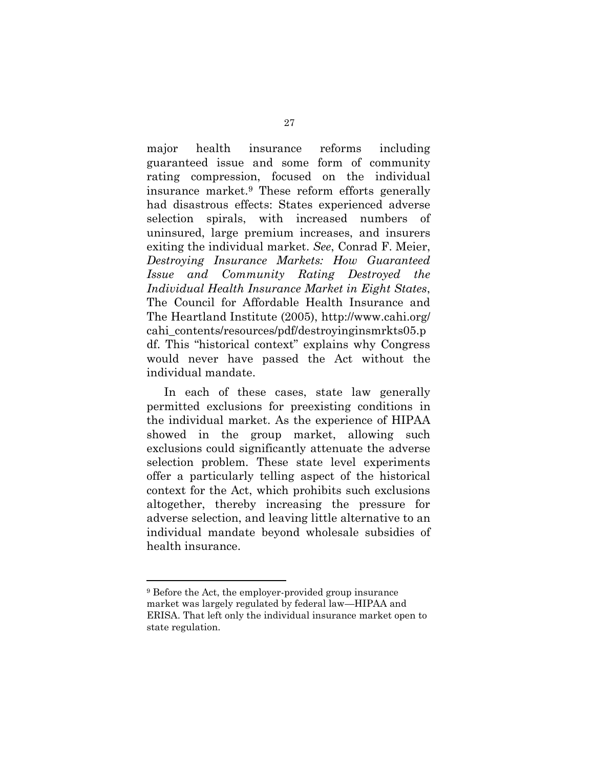major health insurance reforms including guaranteed issue and some form of community rating compression, focused on the individual insurance market.<sup>9</sup> These reform efforts generally had disastrous effects: States experienced adverse selection spirals, with increased numbers of uninsured, large premium increases, and insurers exiting the individual market. *See*, Conrad F. Meier, *Destroying Insurance Markets: How Guaranteed Issue and Community Rating Destroyed the Individual Health Insurance Market in Eight States*, The Council for Affordable Health Insurance and The Heartland Institute (2005), http://www.cahi.org/ cahi\_contents/resources/pdf/destroyinginsmrkts05.p df. This "historical context" explains why Congress would never have passed the Act without the individual mandate.

In each of these cases, state law generally permitted exclusions for preexisting conditions in the individual market. As the experience of HIPAA showed in the group market, allowing such exclusions could significantly attenuate the adverse selection problem. These state level experiments offer a particularly telling aspect of the historical context for the Act, which prohibits such exclusions altogether, thereby increasing the pressure for adverse selection, and leaving little alternative to an individual mandate beyond wholesale subsidies of health insurance.

<sup>9</sup> Before the Act, the employer-provided group insurance market was largely regulated by federal law—HIPAA and ERISA. That left only the individual insurance market open to state regulation.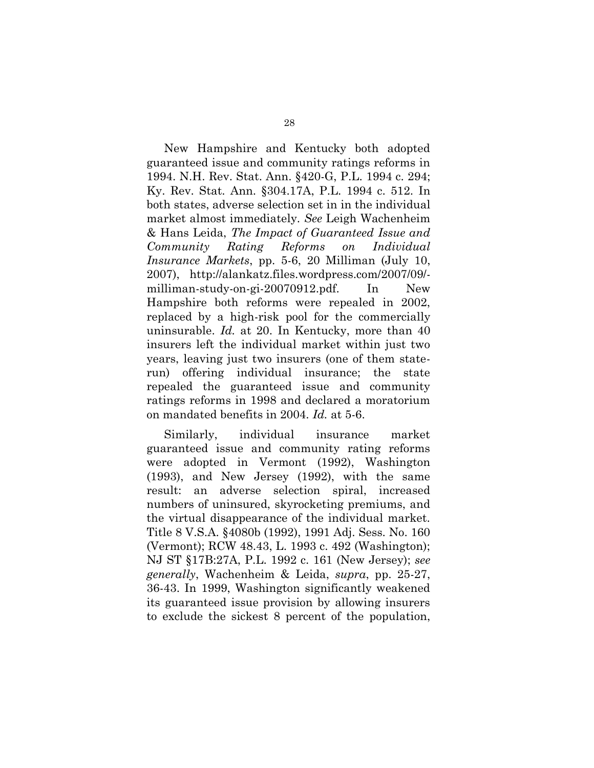New Hampshire and Kentucky both adopted guaranteed issue and community ratings reforms in 1994. N.H. Rev. Stat. Ann. §420-G, P.L. 1994 c. 294; Ky. Rev. Stat. Ann. §304.17A, P.L. 1994 c. 512. In both states, adverse selection set in in the individual market almost immediately. *See* Leigh Wachenheim & Hans Leida, *The Impact of Guaranteed Issue and Community Rating Reforms on Individual Insurance Markets*, pp. 5-6, 20 Milliman (July 10, 2007), http://alankatz.files.wordpress.com/2007/09/ milliman-study-on-gi-20070912.pdf. In New Hampshire both reforms were repealed in 2002, replaced by a high-risk pool for the commercially uninsurable. *Id.* at 20. In Kentucky, more than 40 insurers left the individual market within just two years, leaving just two insurers (one of them staterun) offering individual insurance; the state repealed the guaranteed issue and community ratings reforms in 1998 and declared a moratorium on mandated benefits in 2004. *Id.* at 5-6.

Similarly, individual insurance market guaranteed issue and community rating reforms were adopted in Vermont (1992), Washington (1993), and New Jersey (1992), with the same result: an adverse selection spiral, increased numbers of uninsured, skyrocketing premiums, and the virtual disappearance of the individual market. Title 8 V.S.A. §4080b (1992), 1991 Adj. Sess. No. 160 (Vermont); RCW 48.43, L. 1993 c. 492 (Washington); NJ ST §17B:27A, P.L. 1992 c. 161 (New Jersey); *see generally*, Wachenheim & Leida, *supra*, pp. 25-27, 36-43. In 1999, Washington significantly weakened its guaranteed issue provision by allowing insurers to exclude the sickest 8 percent of the population,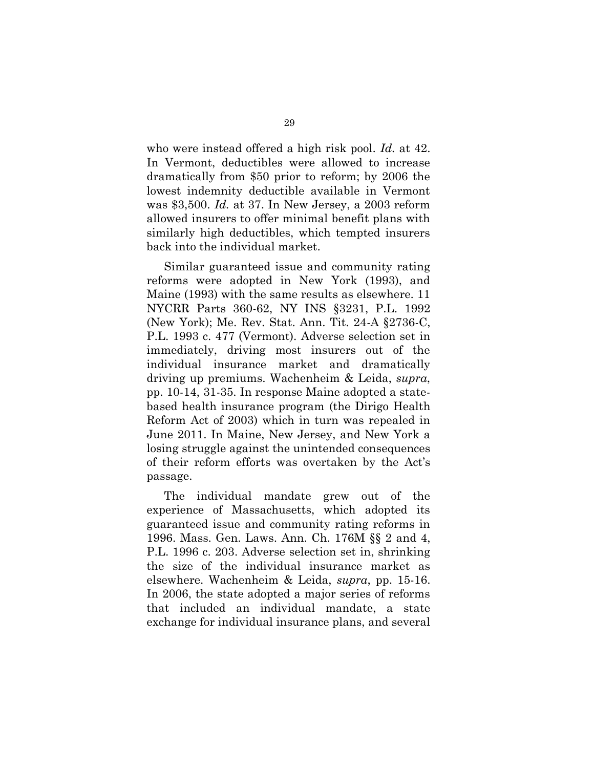who were instead offered a high risk pool. *Id.* at 42. In Vermont, deductibles were allowed to increase dramatically from \$50 prior to reform; by 2006 the lowest indemnity deductible available in Vermont was \$3,500. *Id.* at 37. In New Jersey, a 2003 reform allowed insurers to offer minimal benefit plans with similarly high deductibles, which tempted insurers back into the individual market.

Similar guaranteed issue and community rating reforms were adopted in New York (1993), and Maine (1993) with the same results as elsewhere. 11 NYCRR Parts 360-62, NY INS §3231, P.L. 1992 (New York); Me. Rev. Stat. Ann. Tit. 24-A §2736-C, P.L. 1993 c. 477 (Vermont). Adverse selection set in immediately, driving most insurers out of the individual insurance market and dramatically driving up premiums. Wachenheim & Leida, *supra*, pp. 10-14, 31-35. In response Maine adopted a statebased health insurance program (the Dirigo Health Reform Act of 2003) which in turn was repealed in June 2011. In Maine, New Jersey, and New York a losing struggle against the unintended consequences of their reform efforts was overtaken by the Act's passage.

The individual mandate grew out of the experience of Massachusetts, which adopted its guaranteed issue and community rating reforms in 1996. Mass. Gen. Laws. Ann. Ch. 176M §§ 2 and 4, P.L. 1996 c. 203. Adverse selection set in, shrinking the size of the individual insurance market as elsewhere. Wachenheim & Leida, *supra*, pp. 15-16. In 2006, the state adopted a major series of reforms that included an individual mandate, a state exchange for individual insurance plans, and several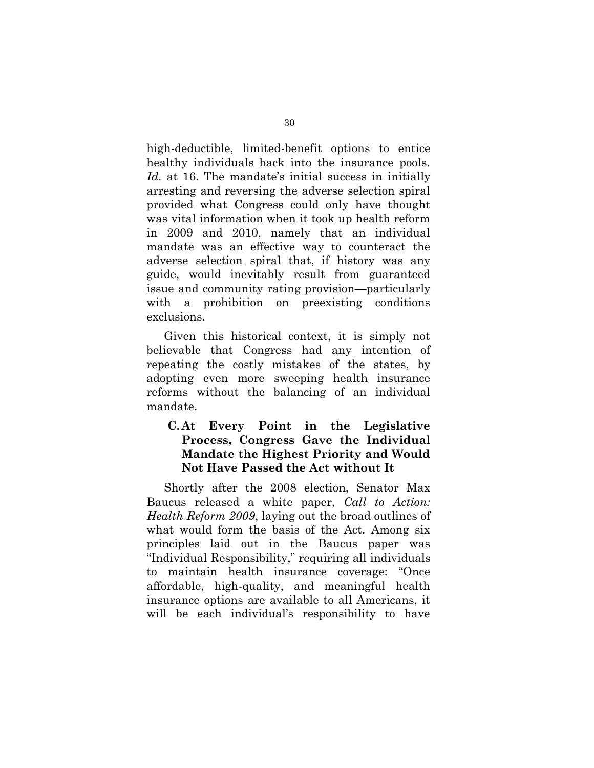high-deductible, limited-benefit options to entice healthy individuals back into the insurance pools. Id. at 16. The mandate's initial success in initially arresting and reversing the adverse selection spiral provided what Congress could only have thought was vital information when it took up health reform in 2009 and 2010, namely that an individual mandate was an effective way to counteract the adverse selection spiral that, if history was any guide, would inevitably result from guaranteed issue and community rating provision—particularly with a prohibition on preexisting conditions exclusions.

Given this historical context, it is simply not believable that Congress had any intention of repeating the costly mistakes of the states, by adopting even more sweeping health insurance reforms without the balancing of an individual mandate.

# **C. At Every Point in the Legislative Process, Congress Gave the Individual Mandate the Highest Priority and Would Not Have Passed the Act without It**

Shortly after the 2008 election, Senator Max Baucus released a white paper, *Call to Action: Health Reform 2009*, laying out the broad outlines of what would form the basis of the Act. Among six principles laid out in the Baucus paper was "Individual Responsibility," requiring all individuals to maintain health insurance coverage: "Once affordable, high-quality, and meaningful health insurance options are available to all Americans, it will be each individual's responsibility to have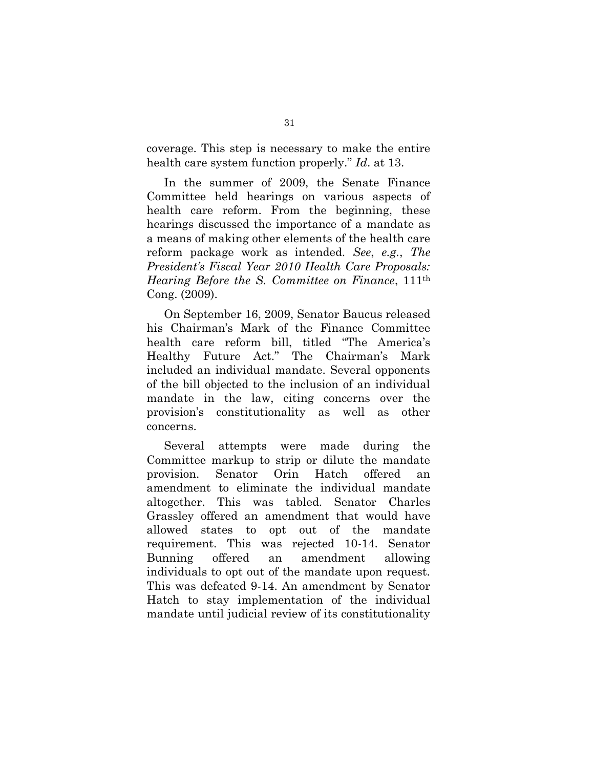coverage. This step is necessary to make the entire health care system function properly." *Id*. at 13.

In the summer of 2009, the Senate Finance Committee held hearings on various aspects of health care reform. From the beginning, these hearings discussed the importance of a mandate as a means of making other elements of the health care reform package work as intended. *See*, *e.g.*, *The President's Fiscal Year 2010 Health Care Proposals: Hearing Before the S. Committee on Finance*, 111th Cong. (2009).

On September 16, 2009, Senator Baucus released his Chairman's Mark of the Finance Committee health care reform bill, titled "The America's Healthy Future Act." The Chairman's Mark included an individual mandate. Several opponents of the bill objected to the inclusion of an individual mandate in the law, citing concerns over the provision's constitutionality as well as other concerns.

Several attempts were made during the Committee markup to strip or dilute the mandate provision. Senator Orin Hatch offered an amendment to eliminate the individual mandate altogether. This was tabled. Senator Charles Grassley offered an amendment that would have allowed states to opt out of the mandate requirement. This was rejected 10-14. Senator Bunning offered an amendment allowing individuals to opt out of the mandate upon request. This was defeated 9-14. An amendment by Senator Hatch to stay implementation of the individual mandate until judicial review of its constitutionality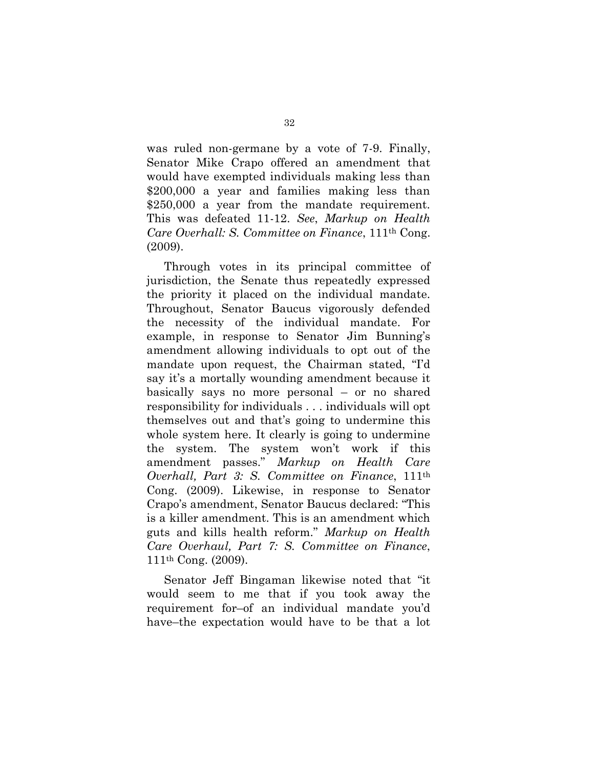was ruled non-germane by a vote of 7-9. Finally, Senator Mike Crapo offered an amendment that would have exempted individuals making less than \$200,000 a year and families making less than \$250,000 a year from the mandate requirement. This was defeated 11-12. *See*, *Markup on Health Care Overhall: S. Committee on Finance*, 111th Cong. (2009).

Through votes in its principal committee of jurisdiction, the Senate thus repeatedly expressed the priority it placed on the individual mandate. Throughout, Senator Baucus vigorously defended the necessity of the individual mandate. For example, in response to Senator Jim Bunning's amendment allowing individuals to opt out of the mandate upon request, the Chairman stated, "I'd say it's a mortally wounding amendment because it basically says no more personal – or no shared responsibility for individuals . . . individuals will opt themselves out and that's going to undermine this whole system here. It clearly is going to undermine the system. The system won't work if this amendment passes." *Markup on Health Care Overhall, Part 3: S. Committee on Finance*, 111th Cong. (2009). Likewise, in response to Senator Crapo's amendment, Senator Baucus declared: "This is a killer amendment. This is an amendment which guts and kills health reform." *Markup on Health Care Overhaul, Part 7: S. Committee on Finance*, 111th Cong. (2009).

Senator Jeff Bingaman likewise noted that "it would seem to me that if you took away the requirement for–of an individual mandate you'd have–the expectation would have to be that a lot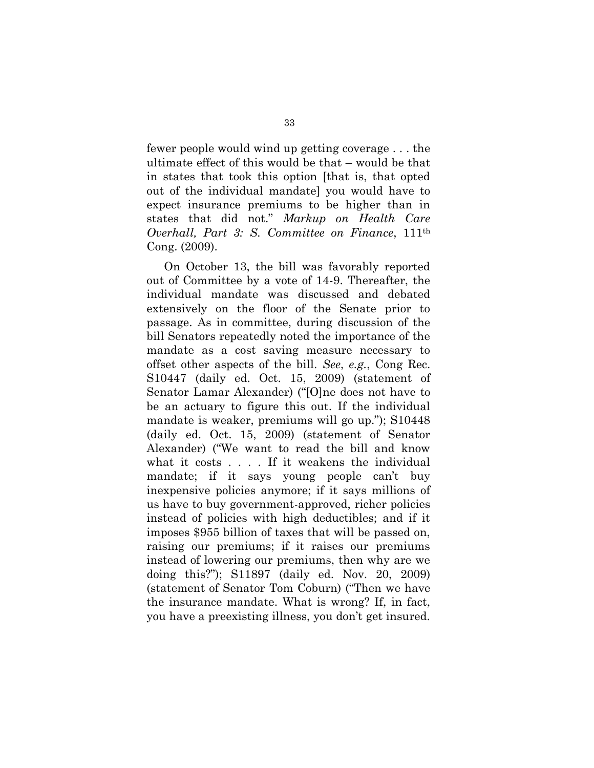fewer people would wind up getting coverage . . . the ultimate effect of this would be that – would be that in states that took this option [that is, that opted out of the individual mandate] you would have to expect insurance premiums to be higher than in states that did not." *Markup on Health Care Overhall, Part 3: S. Committee on Finance*, 111th Cong. (2009).

On October 13, the bill was favorably reported out of Committee by a vote of 14-9. Thereafter, the individual mandate was discussed and debated extensively on the floor of the Senate prior to passage. As in committee, during discussion of the bill Senators repeatedly noted the importance of the mandate as a cost saving measure necessary to offset other aspects of the bill. *See*, *e.g.*, Cong Rec. S10447 (daily ed. Oct. 15, 2009) (statement of Senator Lamar Alexander) ("[O]ne does not have to be an actuary to figure this out. If the individual mandate is weaker, premiums will go up."); S10448 (daily ed. Oct. 15, 2009) (statement of Senator Alexander) ("We want to read the bill and know what it costs . . . . If it weakens the individual mandate; if it says young people can't buy inexpensive policies anymore; if it says millions of us have to buy government-approved, richer policies instead of policies with high deductibles; and if it imposes \$955 billion of taxes that will be passed on, raising our premiums; if it raises our premiums instead of lowering our premiums, then why are we doing this?"); S11897 (daily ed. Nov. 20, 2009) (statement of Senator Tom Coburn) ("Then we have the insurance mandate. What is wrong? If, in fact, you have a preexisting illness, you don't get insured.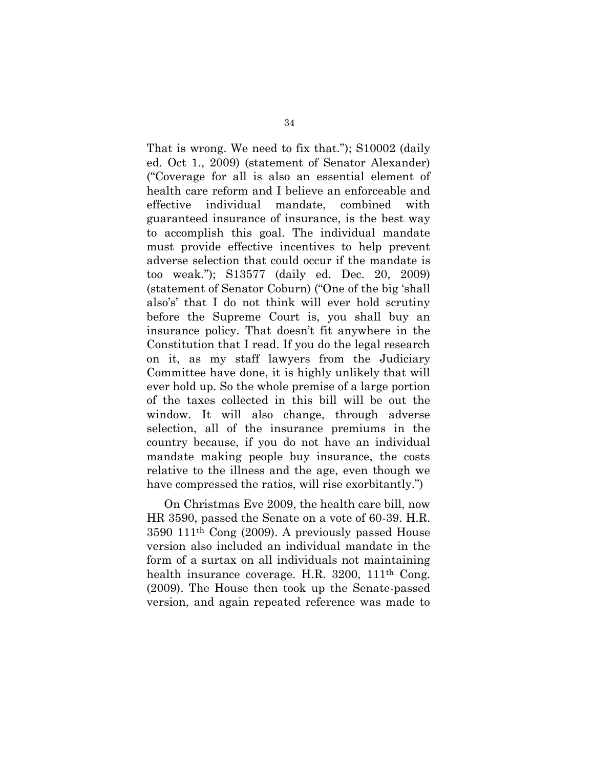That is wrong. We need to fix that."); S10002 (daily ed. Oct 1., 2009) (statement of Senator Alexander) ("Coverage for all is also an essential element of health care reform and I believe an enforceable and effective individual mandate, combined with guaranteed insurance of insurance, is the best way to accomplish this goal. The individual mandate must provide effective incentives to help prevent adverse selection that could occur if the mandate is too weak."); S13577 (daily ed. Dec. 20, 2009) (statement of Senator Coburn) ("One of the big 'shall also's' that I do not think will ever hold scrutiny before the Supreme Court is, you shall buy an insurance policy. That doesn't fit anywhere in the Constitution that I read. If you do the legal research on it, as my staff lawyers from the Judiciary Committee have done, it is highly unlikely that will ever hold up. So the whole premise of a large portion of the taxes collected in this bill will be out the window. It will also change, through adverse selection, all of the insurance premiums in the country because, if you do not have an individual mandate making people buy insurance, the costs relative to the illness and the age, even though we have compressed the ratios, will rise exorbitantly.")

On Christmas Eve 2009, the health care bill, now HR 3590, passed the Senate on a vote of 60-39. H.R. 3590 111th Cong (2009). A previously passed House version also included an individual mandate in the form of a surtax on all individuals not maintaining health insurance coverage. H.R. 3200, 111<sup>th</sup> Cong. (2009). The House then took up the Senate-passed version, and again repeated reference was made to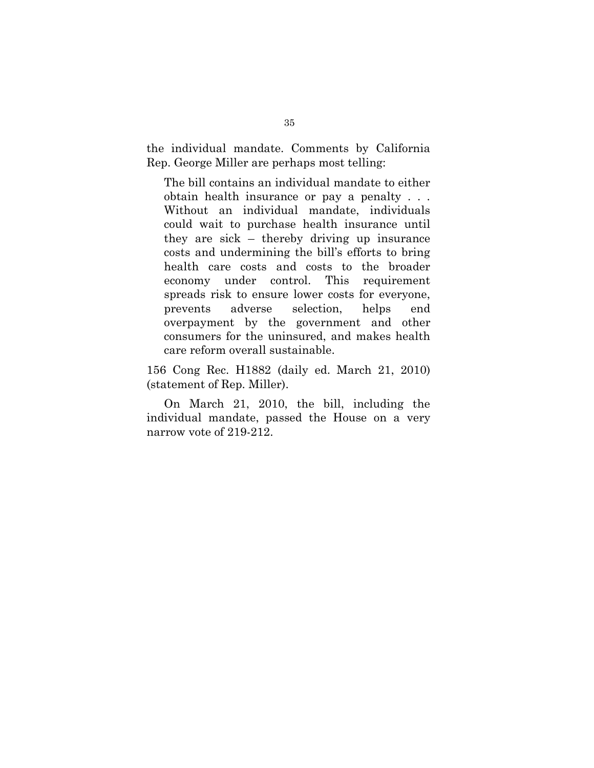the individual mandate. Comments by California Rep. George Miller are perhaps most telling:

The bill contains an individual mandate to either obtain health insurance or pay a penalty . . . Without an individual mandate, individuals could wait to purchase health insurance until they are sick – thereby driving up insurance costs and undermining the bill's efforts to bring health care costs and costs to the broader economy under control. This requirement spreads risk to ensure lower costs for everyone, prevents adverse selection, helps end overpayment by the government and other consumers for the uninsured, and makes health care reform overall sustainable.

156 Cong Rec. H1882 (daily ed. March 21, 2010) (statement of Rep. Miller).

On March 21, 2010, the bill, including the individual mandate, passed the House on a very narrow vote of 219-212.